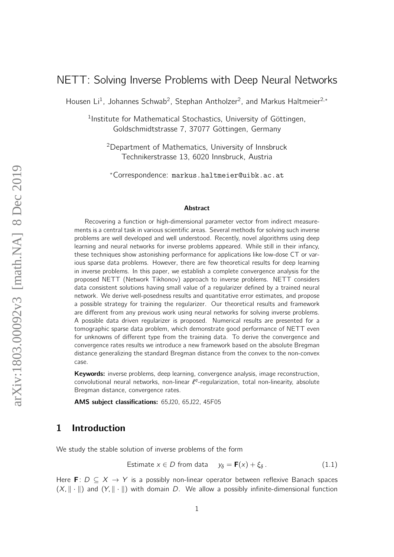# NETT: Solving Inverse Problems with Deep Neural Networks

Housen Li<sup>1</sup>, Johannes Schwab<sup>2</sup>, Stephan Antholzer<sup>2</sup>, and Markus Haltmeier<sup>2,\*</sup>

<sup>1</sup>Institute for Mathematical Stochastics, University of Göttingen, Goldschmidtstrasse 7, 37077 Göttingen, Germany

<sup>2</sup>Department of Mathematics, University of Innsbruck Technikerstrasse 13, 6020 Innsbruck, Austria

?Correspondence: markus.haltmeier@uibk.ac.at

#### Abstract

Recovering a function or high-dimensional parameter vector from indirect measurements is a central task in various scientific areas. Several methods for solving such inverse problems are well developed and well understood. Recently, novel algorithms using deep learning and neural networks for inverse problems appeared. While still in their infancy, these techniques show astonishing performance for applications like low-dose CT or various sparse data problems. However, there are few theoretical results for deep learning in inverse problems. In this paper, we establish a complete convergence analysis for the proposed NETT (Network Tikhonov) approach to inverse problems. NETT considers data consistent solutions having small value of a regularizer defined by a trained neural network. We derive well-posedness results and quantitative error estimates, and propose a possible strategy for training the regularizer. Our theoretical results and framework are different from any previous work using neural networks for solving inverse problems. A possible data driven regularizer is proposed. Numerical results are presented for a tomographic sparse data problem, which demonstrate good performance of NETT even for unknowns of different type from the training data. To derive the convergence and convergence rates results we introduce a new framework based on the absolute Bregman distance generalizing the standard Bregman distance from the convex to the non-convex case.

Keywords: inverse problems, deep learning, convergence analysis, image reconstruction, convolutional neural networks, non-linear  $\ell^q$ -regularization, total non-linearity, absolute Bregman distance, convergence rates.

AMS subject classifications: 65J20, 65J22, 45F05

# 1 Introduction

We study the stable solution of inverse problems of the form

<span id="page-0-0"></span>Estimate 
$$
x \in D
$$
 from data  $y_{\delta} = \mathbf{F}(x) + \xi_{\delta}$ . (1.1)

Here F:  $D \subseteq X \rightarrow Y$  is a possibly non-linear operator between reflexive Banach spaces  $(X, \|\cdot\|)$  and  $(Y, \|\cdot\|)$  with domain D. We allow a possibly infinite-dimensional function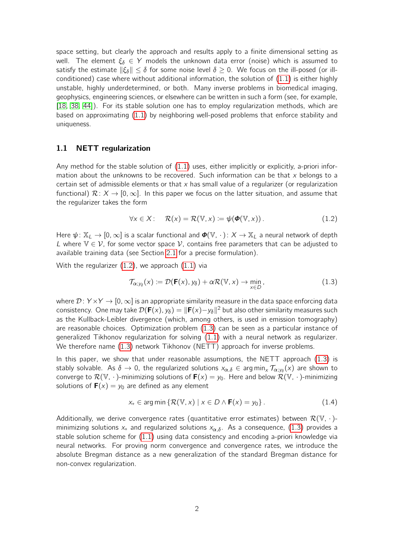space setting, but clearly the approach and results apply to a finite dimensional setting as well. The element  $\xi_{\delta} \in Y$  models the unknown data error (noise) which is assumed to satisfy the estimate  $\|\xi_{\delta}\| \leq \delta$  for some noise level  $\delta \geq 0$ . We focus on the ill-posed (or illconditioned) case where without additional information, the solution of [\(1.1\)](#page-0-0) is either highly unstable, highly underdetermined, or both. Many inverse problems in biomedical imaging, geophysics, engineering sciences, or elsewhere can be written in such a form (see, for example, [\[18,](#page-21-0) [38,](#page-23-0) [44\]](#page-23-1)). For its stable solution one has to employ regularization methods, which are based on approximating [\(1.1\)](#page-0-0) by neighboring well-posed problems that enforce stability and uniqueness.

### 1.1 NETT regularization

Any method for the stable solution of  $(1.1)$  uses, either implicitly or explicitly, a-priori information about the unknowns to be recovered. Such information can be that  $x$  belongs to a certain set of admissible elements or that  $x$  has small value of a regularizer (or regularization functional)  $\mathcal{R}: X \to [0,\infty]$ . In this paper we focus on the latter situation, and assume that the regularizer takes the form

<span id="page-1-0"></span>
$$
\forall x \in X: \quad \mathcal{R}(x) = \mathcal{R}(\mathbb{V}, x) \coloneqq \psi(\boldsymbol{\Phi}(\mathbb{V}, x)). \tag{1.2}
$$

Here  $\psi: \mathbb{X}_L \to [0,\infty]$  is a scalar functional and  $\Phi(\mathbb{V},\cdot): X \to \mathbb{X}_L$  a neural network of depth L where  $\mathbb{V} \in \mathcal{V}$ , for some vector space  $\mathcal{V}$ , contains free parameters that can be adjusted to available training data (see Section [2.1](#page-4-0) for a precise formulation).

With the regularizer [\(1.2\)](#page-1-0), we approach [\(1.1\)](#page-0-0) via

<span id="page-1-1"></span>
$$
\mathcal{T}_{\alpha;\gamma_{\delta}}(x) \coloneqq \mathcal{D}(\mathbf{F}(x),\gamma_{\delta}) + \alpha \mathcal{R}(\mathbb{V},x) \to \min_{x \in D},
$$
\n(1.3)

where  $\mathcal{D}: Y \times Y \to [0, \infty]$  is an appropriate similarity measure in the data space enforcing data consistency. One may take  $\mathcal{D}(\mathbf{F}(x), y_{\delta}) = \|\mathbf{F}(x)-y_{\delta}\|^2$  but also other similarity measures such as the Kullback-Leibler divergence (which, among others, is used in emission tomography) are reasonable choices. Optimization problem [\(1.3\)](#page-1-1) can be seen as a particular instance of generalized Tikhonov regularization for solving [\(1.1\)](#page-0-0) with a neural network as regularizer. We therefore name [\(1.3\)](#page-1-1) network Tikhonov (NETT) approach for inverse problems.

In this paper, we show that under reasonable assumptions, the NETT approach [\(1.3\)](#page-1-1) is stably solvable. As  $\delta\to 0$ , the regularized solutions  $x_{\alpha,\delta}\in\argmin_x\mathcal{T}_{\alpha;y_\delta}(x)$  are shown to converge to  $\mathcal{R}(\mathbb{V}, \cdot)$ -minimizing solutions of  $\mathbf{F}(x) = y_0$ . Here and below  $\mathcal{R}(\mathbb{V}, \cdot)$ -minimizing solutions of  $F(x) = y_0$  are defined as any element

<span id="page-1-2"></span>
$$
x_{+} \in \arg\min \left\{ \mathcal{R}(\mathbb{V}, x) \mid x \in D \wedge \mathbf{F}(x) = y_{0} \right\}. \tag{1.4}
$$

Additionally, we derive convergence rates (quantitative error estimates) between  $\mathcal{R}(\mathbb{V},\,\cdot\,)$ minimizing solutions  $x_+$  and regularized solutions  $x_{\alpha,\delta}$ . As a consequence, [\(1.3\)](#page-1-1) provides a stable solution scheme for [\(1.1\)](#page-0-0) using data consistency and encoding a-priori knowledge via neural networks. For proving norm convergence and convergence rates, we introduce the absolute Bregman distance as a new generalization of the standard Bregman distance for non-convex regularization.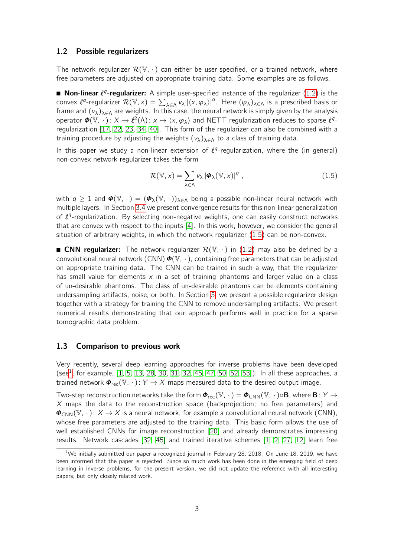#### 1.2 Possible regularizers

The network regularizer  $\mathcal{R}(\mathbb{V},\cdot)$  can either be user-specified, or a trained network, where free parameters are adjusted on appropriate training data. Some examples are as follows.

**Non-linear**  $\ell^q$ -regularizer: A simple user-specified instance of the regularizer  $(1.2)$  is the convex  $\ell^q$ -regularizer  $\mathcal{R}(\mathbb{V},x)=\sum_{\lambda\in\Lambda}v_\lambda\,|\langle x,\varphi_\lambda\rangle|^q.$  Here  $(\varphi_\lambda)_{\lambda\in\Lambda}$  is a prescribed basis or frame and  $(v_{\lambda})_{\lambda \in \Lambda}$  are weights. In this case, the neural network is simply given by the analysis operator  $\bm{\phi}(\mathbb{V},\,\cdot\,)\colon X\to \ell^2(\Lambda)\colon x\mapsto \langle x,\varphi_\lambda\rangle$  and NETT regularization reduces to sparse  $\ell^q$ regularization [\[17,](#page-21-1) [22,](#page-22-0) [23,](#page-22-1) [34,](#page-22-2) [40\]](#page-23-2). This form of the regularizer can also be combined with a training procedure by adjusting the weights  $(v_\lambda)_{\lambda \in \Lambda}$  to a class of training data.

In this paper we study a non-linear extension of  $l^{q}$ -regularization, where the (in general) non-convex network regularizer takes the form

<span id="page-2-0"></span>
$$
\mathcal{R}(\mathbb{V},x) = \sum_{\lambda \in \Lambda} v_{\lambda} |\Phi_{\lambda}(\mathbb{V},x)|^{q} , \qquad (1.5)
$$

with  $q \ge 1$  and  $\Phi(\mathbb{V}, \cdot) = (\Phi_{\lambda}(\mathbb{V}, \cdot))_{\lambda \in \Lambda}$  being a possible non-linear neural network with multiple layers. In Section [3.4](#page-11-0) we present convergence results for this non-linear generalization of  $l<sup>q</sup>$ -regularization. By selecting non-negative weights, one can easily construct networks that are convex with respect to the inputs [\[4\]](#page-21-2). In this work, however, we consider the general situation of arbitrary weights, in which the network regularizer [\(1.5\)](#page-2-0) can be non-convex.

**CNN requiarizer:** The network regularizer  $\mathcal{R}(\mathbb{V}, \cdot)$  in [\(1.2\)](#page-1-0) may also be defined by a convolutional neural network (CNN)  $\boldsymbol{\phi}(\mathbb{V}, \cdot)$ , containing free parameters that can be adjusted on appropriate training data. The CNN can be trained in such a way, that the regularizer has small value for elements  $x$  in a set of training phantoms and larger value on a class of un-desirable phantoms. The class of un-desirable phantoms can be elements containing undersampling artifacts, noise, or both. In Section [5,](#page-15-0) we present a possible regularizer design together with a strategy for training the CNN to remove undersampling artifacts. We present numerical results demonstrating that our approach performs well in practice for a sparse tomographic data problem.

#### 1.3 Comparison to previous work

Very recently, several deep learning approaches for inverse problems have been developed (see<sup>[1](#page-2-1)</sup>, for example,  $[1, 5, 13, 28, 30, 31, 32, 45, 47, 50, 52, 53]$  $[1, 5, 13, 28, 30, 31, 32, 45, 47, 50, 52, 53]$  $[1, 5, 13, 28, 30, 31, 32, 45, 47, 50, 52, 53]$  $[1, 5, 13, 28, 30, 31, 32, 45, 47, 50, 52, 53]$  $[1, 5, 13, 28, 30, 31, 32, 45, 47, 50, 52, 53]$  $[1, 5, 13, 28, 30, 31, 32, 45, 47, 50, 52, 53]$  $[1, 5, 13, 28, 30, 31, 32, 45, 47, 50, 52, 53]$  $[1, 5, 13, 28, 30, 31, 32, 45, 47, 50, 52, 53]$  $[1, 5, 13, 28, 30, 31, 32, 45, 47, 50, 52, 53]$  $[1, 5, 13, 28, 30, 31, 32, 45, 47, 50, 52, 53]$  $[1, 5, 13, 28, 30, 31, 32, 45, 47, 50, 52, 53]$  $[1, 5, 13, 28, 30, 31, 32, 45, 47, 50, 52, 53]$ ). In all these approaches, a trained network  $\Phi_{\text{rec}}(\mathbb{V}, \cdot): Y \to X$  maps measured data to the desired output image.

Two-step reconstruction networks take the form  $\Phi_{\text{rec}}(\mathbb{V}, \cdot) = \Phi_{\text{CNN}}(\mathbb{V}, \cdot) \circ \mathbf{B}$ , where  $\mathbf{B} \colon Y \to Y$  $X$  maps the data to the reconstruction space (backprojection; no free parameters) and  $\Phi_{\rm CNN}(\mathbb{V}, \cdot): X \to X$  is a neural network, for example a convolutional neural network (CNN), whose free parameters are adjusted to the training data. This basic form allows the use of well established CNNs for image reconstruction [\[20\]](#page-22-7) and already demonstrates impressing results. Network cascades [\[32,](#page-22-6) [45\]](#page-23-3) and trained iterative schemes [\[1,](#page-20-0) [2,](#page-20-1) [27,](#page-22-8) [12\]](#page-21-5) learn free

<span id="page-2-1"></span> $1$ We initially submitted our paper a recognized journal in February 28, 2018. On June 18, 2019, we have been informed that the paper is rejected. Since so much work has been done in the emerging field of deep learning in inverse problems, for the present version, we did not update the reference with all interesting papers, but only closely related work.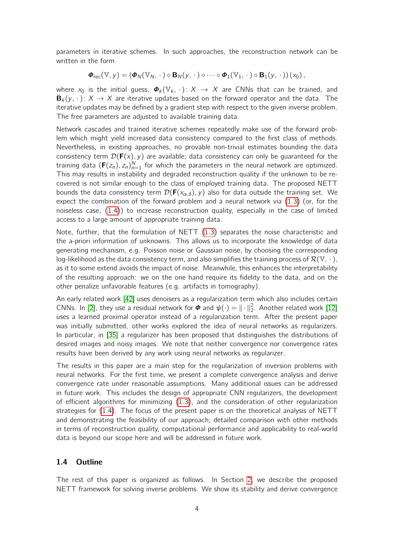parameters in iterative schemes. In such approaches, the reconstruction network can be written in the form

$$
\boldsymbol{\Phi}_{\text{rec}}(\mathbb{V}, y) = (\boldsymbol{\Phi}_{N}(\mathbb{V}_{N}, \cdot) \circ \mathbf{B}_{N}(y, \cdot) \circ \cdots \circ \boldsymbol{\Phi}_{1}(\mathbb{V}_{1}, \cdot) \circ \mathbf{B}_{1}(y, \cdot))(x_{0}),
$$

where  $x_0$  is the initial guess,  $\Phi_k(\mathbb{V}_k, \cdot) \colon X \to X$  are CNNs that can be trained, and  ${\bf B}_{k}(v, \cdot): X \to X$  are iterative updates based on the forward operator and the data. The iterative updates may be defined by a gradient step with respect to the given inverse problem. The free parameters are adjusted to available training data.

Network cascades and trained iterative schemes repeatedly make use of the forward problem which might yield increased data consistency compared to the first class of methods. Nevertheless, in existing approaches, no provable non-trivial estimates bounding the data consistency term  $\mathcal{D}(\mathbf{F}(x), y)$  are available; data consistency can only be quaranteed for the training data  $(\mathbf{F}(z_n), z_n)_{n=1}^N$  for which the parameters in the neural network are optimized. This may results in instability and degraded reconstruction quality if the unknown to be recovered is not similar enough to the class of employed training data. The proposed NETT bounds the data consistency term  $\mathcal{D}(\mathbf{F}(x_{\alpha,\delta}), y)$  also for data outside the training set. We expect the combination of the forward problem and a neural network via [\(1.3\)](#page-1-1) (or, for the noiseless case, [\(1.4\)](#page-1-2)) to increase reconstruction quality, especially in the case of limited access to a large amount of appropriate training data.

Note, further, that the formulation of NETT [\(1.3\)](#page-1-1) separates the noise characteristic and the a-priori information of unknowns. This allows us to incorporate the knowledge of data generating mechanism, e.g. Poisson noise or Gaussian noise, by choosing the corresponding log-likelihood as the data consistency term, and also simplifies the training process of  $\mathcal{R}(\mathbb{V}, \cdot)$ , as it to some extend avoids the impact of noise. Meanwhile, this enhances the interpretability of the resulting approach: we on the one hand require its fidelity to the data, and on the other penalize unfavorable features (e.g. artifacts in tomography).

An early related work [\[42\]](#page-23-8) uses denoisers as a regularization term which also includes certain CNNs. In [\[2\]](#page-20-1), they use a residual network for  $\phi$  and  $\psi(\cdot) = \|\cdot\|_2^2$ . Another related work [\[12\]](#page-21-5) uses a learned proximal operator instead of a regularization term. After the present paper was initially submitted, other works explored the idea of neural networks as regularizers. In particular, in [\[35\]](#page-22-9) a regularizer has been proposed that distinguishes the distributions of desired images and noisy images. We note that neither convergence nor convergence rates results have been derived by any work using neural networks as regularizer.

The results in this paper are a main step for the regularization of inversion problems with neural networks. For the first time, we present a complete convergence analysis and derive convergence rate under reasonable assumptions. Many additional issues can be addressed in future work. This includes the design of appropriate CNN regularizers, the development of efficient algorithms for minimizing [\(1.3\)](#page-1-1), and the consideration of other regularization strategies for [\(1.4\)](#page-1-2). The focus of the present paper is on the theoretical analysis of NETT and demonstrating the feasibility of our approach; detailed comparison with other methods in terms of reconstruction quality, computational performance and applicability to real-world data is beyond our scope here and will be addressed in future work.

### 1.4 Outline

The rest of this paper is organized as follows. In Section [2,](#page-4-1) we describe the proposed NETT framework for solving inverse problems. We show its stability and derive convergence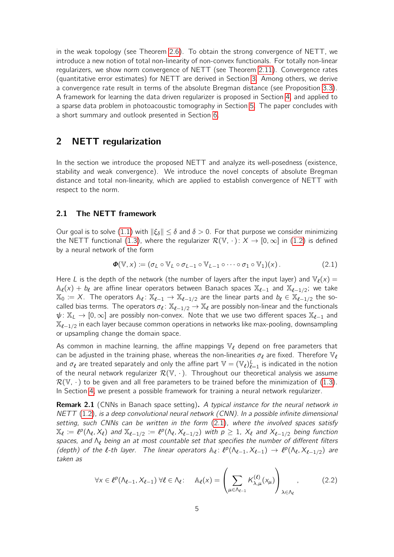in the weak topology (see Theorem [2.6\)](#page-6-0). To obtain the strong convergence of NETT, we introduce a new notion of total non-linearity of non-convex functionals. For totally non-linear regularizers, we show norm convergence of NETT (see Theorem [2.11\)](#page-8-0). Convergence rates (quantitative error estimates) for NETT are derived in Section [3.](#page-9-0) Among others, we derive a convergence rate result in terms of the absolute Bregman distance (see Proposition [3.3\)](#page-10-0). A framework for learning the data driven regularizer is proposed in Section [4,](#page-13-0) and applied to a sparse data problem in photoacoustic tomography in Section [5.](#page-15-0) The paper concludes with a short summary and outlook presented in Section [6.](#page-20-2)

# <span id="page-4-1"></span>2 NETT regularization

In the section we introduce the proposed NETT and analyze its well-posedness (existence, stability and weak convergence). We introduce the novel concepts of absolute Bregman distance and total non-linearity, which are applied to establish convergence of NETT with respect to the norm.

#### <span id="page-4-0"></span>2.1 The NETT framework

Our goal is to solve [\(1.1\)](#page-0-0) with  $\|\xi_{\delta}\| \leq \delta$  and  $\delta > 0$ . For that purpose we consider minimizing the NETT functional [\(1.3\)](#page-1-1), where the regularizer  $\mathcal{R}(\mathbb{V},\cdot): X \to [0,\infty]$  in [\(1.2\)](#page-1-0) is defined by a neural network of the form

<span id="page-4-2"></span>
$$
\boldsymbol{\Phi}(\mathbb{V},\mathbf{x}) \coloneqq (\sigma_L \circ \mathbb{V}_L \circ \sigma_{L-1} \circ \mathbb{V}_{L-1} \circ \cdots \circ \sigma_1 \circ \mathbb{V}_1)(\mathbf{x}). \tag{2.1}
$$

Here L is the depth of the network (the number of layers after the input layer) and  $\mathbb{V}_\ell(x) =$  $\mathbb{A}_{\ell}(x) + b_{\ell}$  are affine linear operators between Banach spaces  $\mathbb{X}_{\ell-1}$  and  $\mathbb{X}_{\ell-1/2}$ ; we take  $\mathbb{X}_0\coloneqq X$ . The operators  $\mathbb{A}_\ell\colon \mathbb{X}_{\ell-1}\to \mathbb{X}_{\ell-1/2}$  are the linear parts and  $b_\ell\in \mathbb{X}_{\ell-1/2}$  the socalled bias terms. The operators  $\sigma_{\ell} \colon \mathbb{X}_{\ell-1/2} \to \mathbb{X}_{\ell}$  are possibly non-linear and the functionals  $\psi: \mathbb{X}_L \to [0,\infty]$  are possibly non-convex. Note that we use two different spaces  $\mathbb{X}_{\ell-1}$  and  $\mathbb{X}_{\ell - 1/2}$  in each layer because common operations in networks like max-pooling, downsampling or upsampling change the domain space.

As common in machine learning, the affine mappings  $\mathbb{V}_\ell$  depend on free parameters that can be adjusted in the training phase, whereas the non-linearities  $\sigma_{\ell}$  are fixed. Therefore  $\mathbb{V}_{\ell}$ and  $\sigma_\ell$  are treated separately and only the affine part  $\mathbb{V} = (\mathbb{V}_\ell)_{\ell=1}^L$  is indicated in the notion of the neural network regularizer  $\mathcal{R}(\mathbb{V}, \cdot)$ . Throughout our theoretical analysis we assume  $\mathcal{R}(\mathbb{V}, \cdot)$  to be given and all free parameters to be trained before the minimization of [\(1.3\)](#page-1-1). In Section [4,](#page-13-0) we present a possible framework for training a neural network regularizer.

<span id="page-4-4"></span>**Remark 2.1** (CNNs in Banach space setting). A typical instance for the neural network in NETT [\(1.2\)](#page-1-0), is a deep convolutional neural network (CNN). In a possible infinite dimensional setting, such CNNs can be written in the form [\(2.1\)](#page-4-2), where the involved spaces satisfy  $\mathbb{X}_\ell \coloneqq \ell^p(\Lambda_\ell, X_\ell)$  and  $\mathbb{X}_{\ell-1/2} \coloneqq \ell^p(\Lambda_\ell, X_{\ell-1/2})$  with  $p \geq 1$ ,  $X_\ell$  and  $X_{\ell-1/2}$  being function spaces, and  $\Lambda_{\ell}$  being an at most countable set that specifies the number of different filters (depth) of the l-th layer. The linear operators  $\mathbb{A}_{\ell}$ :  $\ell^p(\Lambda_{\ell-1}, X_{\ell-1}) \to \ell^p(\Lambda_{\ell}, X_{\ell-1/2})$  are taken as

<span id="page-4-3"></span>
$$
\forall x \in \ell^p(\Lambda_{\ell-1}, X_{\ell-1}) \,\forall \ell \in \Lambda_{\ell}: \quad \mathbb{A}_{\ell}(x) = \left(\sum_{\mu \in \Lambda_{\ell-1}} K_{\lambda,\mu}^{(\ell)}(x_{\mu})\right)_{\lambda \in \Lambda_{\ell}}, \tag{2.2}
$$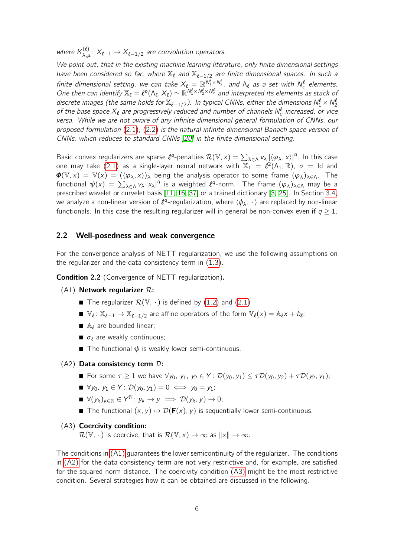where  $K_{\lambda,\mu}^{(\ell)}\colon X_{\ell-1}\to X_{\ell-1/2}$  are convolution operators.

We point out, that in the existing machine learning literature, only finite dimensional settings have been considered so far, where  $\mathbb{X}_\ell$  and  $\mathbb{X}_{\ell-1/2}$  are finite dimensional spaces. In such a finite dimensional setting, we can take  $X_\ell = \mathbb{R}^{N_1^{\ell} \times N_2^{\ell}}$ , and  $\Lambda_\ell$  as a set with  $N_c^{\ell}$  elements. One then can identify  $\mathbb{X}_\ell = \ell^p(\Lambda_\ell, X_\ell) \simeq \mathbb{R}^{N_1^{\ell} \times N_2^{\ell} \times N_c^{\ell}}$  and interpreted its elements as stack of discrete images (the same holds for  $\mathbb{X}_{\ell-1/2}$ ). In typical CNNs, either the dimensions  $\mathcal{N}_1^{\ell} \times \mathcal{N}_2^{\ell}$ of the base space  $X_{\ell}$  are progressively reduced and number of channels  $N_c^{\ell}$  increased, or vice versa. While we are not aware of any infinite dimensional general formulation of CNNs, our proposed formulation [\(2.1\)](#page-4-2), [\(2.2\)](#page-4-3) is the natural infinite-dimensional Banach space version of CNNs, which reduces to standard CNNs [\[20\]](#page-22-7) in the finite dimensional setting.

Basic convex regularizers are sparse  $\ell^q$ -penalties  $\mathcal{R}(\mathbb{V},x)=\sum_{\lambda\in\Lambda}v_\lambda\,|\langle\varphi_\lambda,x\rangle|^q.$  In this case one may take [\(2.1\)](#page-4-2) as a single-layer neural network with  $\overline{X}_1 = \ell^2(\Lambda_1, \mathbb{R})$ ,  $\sigma = \text{Id}$  and  $\Phi(\mathbb{V},x) = \mathbb{V}(x) = (\langle \varphi_\lambda, x \rangle)_\lambda$  being the analysis operator to some frame  $(\varphi_\lambda)_{\lambda \in \Lambda}$ . The functional  $\psi(x) = \sum_{\lambda \in \Lambda} v_{\lambda} |x_{\lambda}|^q$  is a weighted  $\ell^q$ -norm. The frame  $(\varphi_{\lambda})_{\lambda \in \Lambda}$  may be a prescribed wavelet or curvelet basis [\[11,](#page-21-6) [16,](#page-21-7) [37\]](#page-22-10) or a trained dictionary [\[3,](#page-20-3) [25\]](#page-22-11). In Section [3.4,](#page-11-0) we analyze a non-linear version of  $\ell^q$ -regularization, where  $\langle \phi_\lambda, \,\cdot\, \rangle$  are replaced by non-linear functionals. In this case the resulting regularizer will in general be non-convex even if  $q \geq 1$ .

#### <span id="page-5-4"></span>2.2 Well-posedness and weak convergence

For the convergence analysis of NETT regularization, we use the following assumptions on the regularizer and the data consistency term in [\(1.3\)](#page-1-1).

<span id="page-5-3"></span>Condition 2.2 (Convergence of NETT regularization).

<span id="page-5-0"></span> $(A1)$  Network regularizer  $\mathcal{R}$ :

- The regularizer  $\mathcal{R}(\mathbb{V}, \cdot)$  is defined by [\(1.2\)](#page-1-0) and [\(2.1\)](#page-4-2)
- $\mathbb{V}_{\ell}$ :  $\mathbb{X}_{\ell-1} \to \mathbb{X}_{\ell-1/2}$  are affine operators of the form  $\mathbb{V}_{\ell}(x) = \mathbb{A}_{\ell}x + b_{\ell}$ ;
- $\blacksquare$  A<sub>l</sub> are bounded linear;
- $\blacksquare$   $\sigma_{\ell}$  are weakly continuous;
- The functional  $\psi$  is weakly lower semi-continuous.
- <span id="page-5-1"></span> $(A2)$  Data consistency term  $D$ :
	- For some  $\tau \geq 1$  we have  $\forall y_0, y_1, y_2 \in Y: \mathcal{D}(y_0, y_1) \leq \tau \mathcal{D}(y_0, y_2) + \tau \mathcal{D}(y_2, y_1);$
	- $\blacksquare \forall v_0, v_1 \in Y : \mathcal{D}(v_0, v_1) = 0 \iff v_0 = v_1$ ;
	- $\blacksquare \forall (y_k)_{k \in \mathbb{N}} \in Y^{\mathbb{N}} \colon y_k \to y \implies \mathcal{D}(y_k, y) \to 0;$
	- The functional  $(x, y) \mapsto \mathcal{D}(\mathbf{F}(x), y)$  is sequentially lower semi-continuous.

#### <span id="page-5-2"></span>(A3) Coercivity condition:

 $\mathcal{R}(\mathbb{V}, \cdot)$  is coercive, that is  $\mathcal{R}(\mathbb{V}, x) \to \infty$  as  $||x|| \to \infty$ .

The conditions in [\(A1\)](#page-5-0) guarantees the lower semicontinuity of the regularizer. The conditions in [\(A2\)](#page-5-1) for the data consistency term are not very restrictive and, for example, are satisfied for the squared norm distance. The coercivity condition [\(A3\)](#page-5-2) might be the most restrictive condition. Several strategies how it can be obtained are discussed in the following.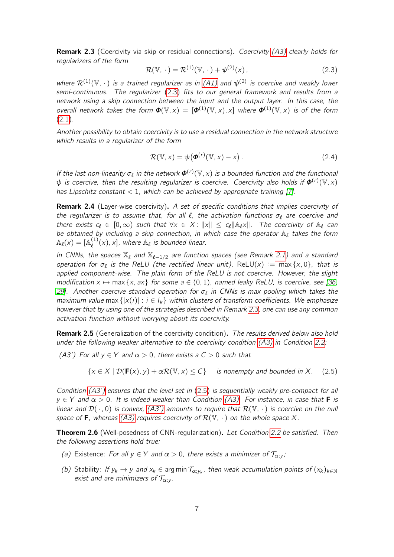<span id="page-6-2"></span>**Remark 2.3** (Coercivity via skip or residual connections). Coercivity [\(A3\)](#page-5-2) clearly holds for regularizers of the form

<span id="page-6-1"></span>
$$
\mathcal{R}(\mathbb{V},\,\cdot\,)=\mathcal{R}^{(1)}(\mathbb{V},\,\cdot\,)+\psi^{(2)}(\mathbf{x})\,,\tag{2.3}
$$

where  $\mathcal{R}^{(1)}(\mathbb{V},\,\cdot\,)$  is a trained regularizer as in [\(A1\)](#page-5-0) and  $\psi^{(2)}$  is coercive and weakly lower semi-continuous. The regularizer [\(2.3\)](#page-6-1) fits to our general framework and results from a network using a skip connection between the input and the output layer. In this case, the overall network takes the form  $\boldsymbol{\Phi}(\mathbb{V},x) = [\boldsymbol{\Phi}^{(1)}(\mathbb{V},x),x]$  where  $\boldsymbol{\Phi}^{(1)}(\mathbb{V},x)$  is of the form [\(2.1\)](#page-4-2).

Another possibility to obtain coercivity is to use a residual connection in the network structure which results in a regularizer of the form

$$
\mathcal{R}(\mathbb{V},x) = \psi(\boldsymbol{\phi}^{(r)}(\mathbb{V},x) - x).
$$
 (2.4)

If the last non-linearity  $\sigma_{\ell}$  in the network  $\boldsymbol{\varphi}^{(r)}(\mathbb{V},x)$  is a bounded function and the functional  $\psi$  is coercive, then the resulting regularizer is coercive. Coercivity also holds if  $\bm{\phi}^{(r)}(\mathbb{V},\mathsf{x})$ has Lipschitz constant  $< 1$ , which can be achieved by appropriate training [\[7\]](#page-21-8).

<span id="page-6-5"></span>Remark 2.4 (Layer-wise coercivity). A set of specific conditions that implies coercivity of the regularizer is to assume that, for all  $\ell$ , the activation functions  $\sigma_{\ell}$  are coercive and there exists  $c_\ell \in [0, \infty)$  such that  $\forall x \in X : ||x|| \leq c_\ell ||\mathbb{A}_\ell x||$ . The coercivity of  $\mathbb{A}_\ell$  can be obtained by including a skip connection, in which case the operator  $A_{\ell}$  takes the form  $\mathbb{A}_\ell(\mathsf{x}) = [\mathbb{A}_\ell^{(1)}]$  $\binom{1}{\ell}(x)$ , x], where  $\mathbb{A}_{\ell}$  is bounded linear.

In CNNs, the spaces  $\mathbb{X}_\ell$  and  $\mathbb{X}_{\ell-1/2}$  are function spaces (see Remark [2.1\)](#page-4-4) and a standard operation for  $\sigma_{\ell}$  is the ReLU (the rectified linear unit), ReLU(x) := max {x, 0}, that is applied component-wise. The plain form of the ReLU is not coercive. However, the slight modification  $x \mapsto \max\{x, ax\}$  for some  $a \in (0, 1)$ , named leaky ReLU, is coercive, see [\[36,](#page-22-12) [29\]](#page-22-13). Another coercive standard operation for  $\sigma_{\ell}$  in CNNs is max pooling which takes the maximum value max  $\{|x(i)| : i \in I_k\}$  within clusters of transform coefficients. We emphasize however that by using one of the strategies described in Remark [2.3,](#page-6-2) one can use any common activation function without worrying about its coercivity.

Remark 2.5 (Generalization of the coercivity condition). The results derived below also hold under the following weaker alternative to the coercivity condition [\(A3\)](#page-5-2) in Condition [2.2:](#page-5-3)

<span id="page-6-3"></span>(A3') For all  $y \in Y$  and  $\alpha > 0$ , there exists a  $C > 0$  such that

<span id="page-6-4"></span>
$$
\{x \in X \mid \mathcal{D}(\mathbf{F}(x), y) + \alpha \mathcal{R}(\mathbb{V}, x) \le C\} \quad \text{ is nonempty and bounded in } X. \quad (2.5)
$$

Condition [\(A3'\)](#page-6-3) ensures that the level set in [\(2.5\)](#page-6-4) is sequentially weakly pre-compact for all  $y \in Y$  and  $\alpha > 0$ . It is indeed weaker than Condition [\(A3\).](#page-5-2) For instance, in case that **F** is linear and  $\mathcal{D}(\cdot, 0)$  is convex, [\(A3'\)](#page-6-3) amounts to require that  $\mathcal{R}(\mathbb{V}, \cdot)$  is coercive on the null space of **F**, whereas [\(A3\)](#page-5-2) requires coercivity of  $\mathcal{R}(\mathbb{V}, \cdot)$  on the whole space X.

<span id="page-6-0"></span>**Theorem 2.6** (Well-posedness of CNN-regularization). Let Condition [2.2](#page-5-3) be satisfied. Then the following assertions hold true:

- (a) Existence: For all  $y \in Y$  and  $\alpha > 0$ , there exists a minimizer of  $\mathcal{T}_{\alpha; y}$ ;
- (b) Stability: If  $y_k \to y$  and  $x_k \in \arg \min \mathcal{T}_{\alpha; y_k}$ , then weak accumulation points of  $(x_k)_{k \in \mathbb{N}}$ exist and are minimizers of  $\mathcal{T}_{\alpha;\gamma}$ .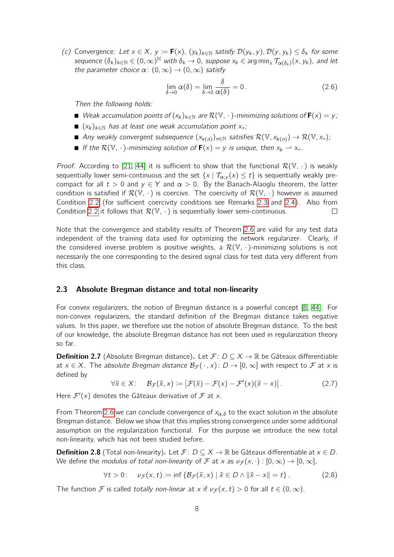<span id="page-7-2"></span>(c) Convergence: Let  $x \in X$ ,  $y := \mathbf{F}(x)$ ,  $(y_k)_{k \in \mathbb{N}}$  satisfy  $\mathcal{D}(y_k, y)$ ,  $\mathcal{D}(y, y_k) \le \delta_k$  for some sequence  $(\delta_k)_{k\in\mathbb{N}}\in(0,\infty)^\mathbb{N}$  with  $\delta_k\to 0$ , suppose  $x_k\in\argmin_x\mathcal{T}_{\alpha(\delta_k)}(x,y_k)$ , and let the parameter choice  $\alpha$ :  $(0, \infty) \rightarrow (0, \infty)$  satisfy

<span id="page-7-1"></span>
$$
\lim_{\delta \to 0} \alpha(\delta) = \lim_{\delta \to 0} \frac{\delta}{\alpha(\delta)} = 0.
$$
\n(2.6)

Then the following holds:

- Weak accumulation points of  $(x_k)_{k \in \mathbb{N}}$  are  $\mathcal{R}(\mathbb{V}, \cdot)$ -minimizing solutions of  $\mathbf{F}(x) = y$ ;
- $( x_k )_{k \in \mathbb{N}}$  has at least one weak accumulation point  $x_{+};$
- Any weakly convergent subsequence  $(x_{k(n)})_{n\in\mathbb{N}}$  satisfies  $\mathcal{R}(\mathbb{V}, x_{k(n)}) \to \mathcal{R}(\mathbb{V}, x_+)$ ;
- If the  $\mathcal{R}(\mathbb{V}, \cdot)$ -minimizing solution of  $\mathbf{F}(x) = y$  is unique, then  $x_k \to x_+$ .

*Proof.* According to [\[21,](#page-22-14) [44\]](#page-23-1) it is sufficient to show that the functional  $\mathcal{R}(\mathbb{V}, \cdot)$  is weakly sequentially lower semi-continuous and the set  $\{x \mid \mathcal{T}_{\alpha,y}(x) \leq t\}$  is sequentially weakly precompact for all  $t > 0$  and  $y \in Y$  and  $\alpha > 0$ . By the Banach-Alaoglu theorem, the latter condition is satisfied if  $\mathcal{R}(\mathbb{V}, \cdot)$  is coercive. The coercivity of  $\mathcal{R}(\mathbb{V}, \cdot)$  however is assumed Condition [2.2](#page-5-3) (for sufficient coercivity conditions see Remarks [2.3](#page-6-2) and [2.4\)](#page-6-5). Also from Condition [2.2](#page-5-3) it follows that  $\mathcal{R}(\mathbb{V}, \cdot)$  is sequentially lower semi-continuous.  $\Box$ 

Note that the convergence and stability results of Theorem [2.6](#page-6-0) are valid for any test data independent of the training data used for optimizing the network regularizer. Clearly, if the considered inverse problem is positive weights, a  $\mathcal{R}(\mathbb{V}, \cdot)$ -minimizing solutions is not necessarily the one corresponding to the desired signal class for test data very different from this class.

#### 2.3 Absolute Bregman distance and total non-linearity

For convex regularizers, the notion of Bregman distance is a powerful concept [\[8,](#page-21-9) [44\]](#page-23-1). For non-convex regularizers, the standard definition of the Bregman distance takes negative values. In this paper, we therefore use the notion of absolute Bregman distance. To the best of our knowledge, the absolute Bregman distance has not been used in regularization theory so far.

<span id="page-7-3"></span>**Definition 2.7** (Absolute Bregman distance). Let  $\mathcal{F}: D \subseteq X \rightarrow \mathbb{R}$  be Gâteaux differentiable at  $x \in X$ . The absolute Bregman distance  $\mathcal{B}_{\mathcal{F}}(\cdot, x)$ :  $D \to [0, \infty]$  with respect to  $\mathcal F$  at x is defined by

<span id="page-7-0"></span>
$$
\forall \tilde{x} \in X: \quad \mathcal{B}_{\mathcal{F}}(\tilde{x}, x) := \left| \mathcal{F}(\tilde{x}) - \mathcal{F}(x) - \mathcal{F}'(x)(\tilde{x} - x) \right|.
$$
 (2.7)

Here  $\mathcal{F}'(x)$  denotes the Gâteaux derivative of  $\mathcal F$  at x.

From Theorem [2.6](#page-6-0) we can conclude convergence of  $x_{\alpha,\delta}$  to the exact solution in the absolute Bregman distance. Below we show that this implies strong convergence under some additional assumption on the regularization functional. For this purpose we introduce the new total non-linearity, which has not been studied before.

**Definition 2.8** (Total non-linearity). Let  $\mathcal{F}: D \subseteq X \to \mathbb{R}$  be Gâteaux differentiable at  $x \in D$ . We define the *modulus of total non-linearity* of F at x as  $\nu_{\mathcal{F}}(x, \cdot) : [0, \infty) \to [0, \infty]$ ,

$$
\forall t > 0: \quad \nu_{\mathcal{F}}(x, t) \coloneqq \inf \left\{ \mathcal{B}_{\mathcal{F}}(\tilde{x}, x) \mid \tilde{x} \in D \land \|\tilde{x} - x\| = t \right\}. \tag{2.8}
$$

The function F is called totally non-linear at x if  $\nu_{\mathcal{F}}(x, t) > 0$  for all  $t \in (0, \infty)$ .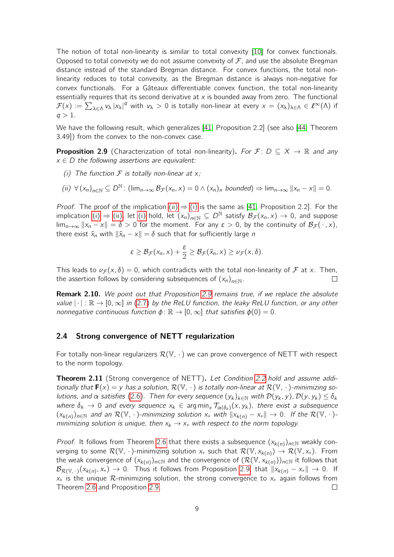The notion of total non-linearity is similar to total convexity [\[10\]](#page-21-10) for convex functionals. Opposed to total convexity we do not assume convexity of  $\mathcal F$ , and use the absolute Bregman distance instead of the standard Bregman distance. For convex functions, the total nonlinearity reduces to total convexity, as the Bregman distance is always non-negative for convex functionals. For a Gâteaux differentiable convex function, the total non-linearity essentially requires that its second derivative at  $x$  is bounded away from zero. The functional  $\mathcal{F}(x) \coloneqq \sum_{\lambda \in \Lambda} v_{\lambda} |x_{\lambda}|^q$  with  $v_{\lambda} > 0$  is totally non-linear at every  $x = (x_{\lambda})_{\lambda \in \Lambda} \in \ell^{\infty}(\Lambda)$  if  $q > 1$ .

We have the following result, which generalizes [\[41,](#page-23-9) Proposition 2.2] (see also [\[44,](#page-23-1) Theorem 3.49]) from the convex to the non-convex case.

<span id="page-8-3"></span>**Proposition 2.9** (Characterization of total non-linearity). For  $\mathcal{F}: D \subseteq X \rightarrow \mathbb{R}$  and any  $x \in D$  the following assertions are equivalent:

<span id="page-8-2"></span>(i) The function  $\mathcal F$  is totally non-linear at  $x$ ;

<span id="page-8-1"></span>
$$
(ii) \ \forall (x_n)_{n \in \mathbb{N}} \subseteq D^{\mathbb{N}}: (\text{lim}_{n \to \infty} \mathcal{B}_{\mathcal{F}}(x_n, x) = 0 \land (x_n)_n \text{ bounded}) \Rightarrow \text{lim}_{n \to \infty} ||x_n - x|| = 0.
$$

*Proof.* The proof of the implication [\(ii\)](#page-8-1)  $\Rightarrow$  [\(i\)](#page-8-2) is the same as [\[41,](#page-23-9) Proposition 2.2]. For the implication [\(i\)](#page-8-2)  $\Rightarrow$  [\(ii\),](#page-8-1) let (i) hold, let  $(x_n)_{n\in\mathbb{N}}\subseteq D^{\mathbb{N}}$  satisfy  $\mathcal{B}_{\mathcal{F}}(x_n,x)\to 0$ , and suppose  $\lim_{n\to\infty} ||x_n - x|| = \delta > 0$  for the moment. For any  $\varepsilon > 0$ , by the continuity of  $\mathcal{B}_{\mathcal{F}}(\cdot, x)$ , there exist  $\tilde{x}_n$  with  $\|\tilde{x}_n - x\| = \delta$  such that for sufficiently large *n* 

$$
\varepsilon \geq \mathcal{B}_{\mathcal{F}}(x_n,x) + \frac{\varepsilon}{2} \geq \mathcal{B}_{\mathcal{F}}(\tilde{x}_n,x) \geq \nu_{\mathcal{F}}(x,\delta).
$$

This leads to  $\nu_{\mathcal{F}}(x,\delta) = 0$ , which contradicts with the total non-linearity of F at x. Then, the assertion follows by considering subsequences of  $(x_n)_{n\in\mathbb{N}}$ .  $\Box$ 

Remark 2.10. We point out that Proposition [2.9](#page-8-3) remains true, if we replace the absolute value  $|\cdot|: \mathbb{R} \to [0, \infty]$  in [\(2.7\)](#page-7-0) by the ReLU function, the leaky ReLU function, or any other nonnegative continuous function  $\phi \colon \mathbb{R} \to [0,\infty]$  that satisfies  $\phi(0) = 0$ .

### 2.4 Strong convergence of NETT regularization

For totally non-linear regularizers  $\mathcal{R}(V, \cdot)$  we can prove convergence of NETT with respect to the norm topology.

<span id="page-8-0"></span>**Theorem 2.11** (Strong convergence of NETT). Let Condition [2.2](#page-5-3) hold and assume additionally that  $\mathbf{F}(x) = y$  has a solution,  $\mathcal{R}(\mathbb{V}, \cdot)$  is totally non-linear at  $\mathcal{R}(\mathbb{V}, \cdot)$ -minimizing so-lutions, and α satisfies [\(2.6\)](#page-7-1). Then for every sequence  $(y_k)_{k \in \mathbb{N}}$  with  $\mathcal{D}(y_k, y)$ ,  $\mathcal{D}(y, y_k) \le \delta_k$ where  $\delta_k \to 0$  and every sequence  $x_k \in \arg\min_x \mathcal{T}_{\alpha(\delta_k)}(x, y_k)$ , there exist a subsequence  $(x_{k(n)})_{n\in\mathbb{N}}$  and an  $\mathcal{R}(\mathbb{V},\cdot)$ -minimizing solution  $x_+$  with  $||x_{k(n)} - x_+|| \to 0$ . If the  $\mathcal{R}(\mathbb{V},\cdot)$ minimizing solution is unique, then  $x_k \rightarrow x_+$  with respect to the norm topology.

*Proof.* It follows from Theorem [2.6](#page-6-0) that there exists a subsequence  $(x_{k(n)})_{n\in\mathbb{N}}$  weakly converging to some  $\mathcal{R}(\mathbb{V}, \cdot)$ -minimizing solution  $x_+$  such that  $\mathcal{R}(\mathbb{V}, x_{k(n)}) \to \mathcal{R}(\mathbb{V}, x_+)$ . From the weak convergence of  $(x_{k(n)})_{n\in\mathbb{N}}$  and the convergence of  $(\mathcal{R}(\mathbb{V}, x_{k(n)}))_{n\in\mathbb{N}}$  it follows that  $\mathcal{B}_{\mathcal{R}(\mathbb{V},\,\cdot\,)}(x_{k(n)},x_+) \to 0.$  Thus it follows from Proposition [2.9,](#page-8-3) that  $\|x_{k(n)}-x_+\| \to 0.$  If  $x_{+}$  is the unique  $\mathcal{R}$ -minimizing solution, the strong convergence to  $x_{+}$  again follows from Theorem [2.6](#page-6-0) and Proposition [2.9.](#page-8-3)  $\Box$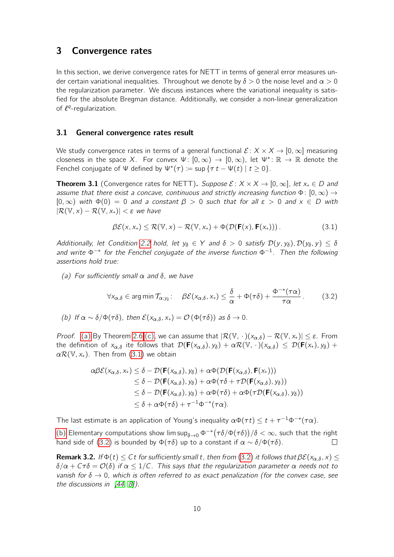# <span id="page-9-0"></span>3 Convergence rates

In this section, we derive convergence rates for NETT in terms of general error measures under certain variational inequalities. Throughout we denote by  $\delta > 0$  the noise level and  $\alpha > 0$ the regularization parameter. We discuss instances where the variational inequality is satisfied for the absolute Bregman distance. Additionally, we consider a non-linear generalization of  $\ell^q$ -regularization.

#### 3.1 General convergence rates result

We study convergence rates in terms of a general functional  $\mathcal{E}: X \times X \rightarrow [0, \infty]$  measuring closeness in the space X. For convex  $\Psi: [0, \infty) \to [0, \infty)$ , let  $\Psi^* \colon \mathbb{R} \to \mathbb{R}$  denote the Fenchel conjugate of  $\Psi$  defined by  $\Psi^*(\tau) := \sup \{ \tau t - \Psi(t) \mid t \geq 0 \}.$ 

<span id="page-9-5"></span>**Theorem 3.1** (Convergence rates for NETT). Suppose  $\mathcal{E}: X \times X \rightarrow [0, \infty]$ , let  $x_+ \in D$  and assume that there exist a concave, continuous and strictly increasing function  $\Phi: [0,\infty) \to$  $[0, \infty)$  with  $\Phi(0) = 0$  and a constant  $\beta > 0$  such that for all  $\varepsilon > 0$  and  $x \in D$  with  $|\mathcal{R}(\mathbb{V},x) - \mathcal{R}(\mathbb{V},x_+)| < \varepsilon$  we have

<span id="page-9-2"></span>
$$
\beta \mathcal{E}(x, x_+) \leq \mathcal{R}(\mathbb{V}, x) - \mathcal{R}(\mathbb{V}, x_+) + \Phi(\mathcal{D}(\mathbf{F}(x), \mathbf{F}(x_+))) \,. \tag{3.1}
$$

Additionally, let Condition [2.2](#page-5-3) hold, let  $y_{\delta} \in Y$  and  $\delta > 0$  satisfy  $\mathcal{D}(y, y_{\delta}), \mathcal{D}(y_{\delta}, y) \leq \delta$ and write  $\Phi^{-*}$  for the Fenchel conjugate of the inverse function  $\Phi^{-1}$ . Then the following assertions hold true:

<span id="page-9-1"></span>(a) For sufficiently small  $\alpha$  and  $\delta$ , we have

<span id="page-9-4"></span>
$$
\forall x_{\alpha,\delta} \in \arg\min \mathcal{T}_{\alpha;y_{\delta}}: \quad \beta \mathcal{E}(x_{\alpha,\delta},x_+) \leq \frac{\delta}{\alpha} + \Phi(\tau\delta) + \frac{\Phi^{-*}(\tau\alpha)}{\tau\alpha} \,. \tag{3.2}
$$

<span id="page-9-3"></span>(b) If 
$$
\alpha \sim \delta/\Phi(\tau\delta)
$$
, then  $\mathcal{E}(x_{\alpha,\delta}, x_+) = \mathcal{O}(\Phi(\tau\delta))$  as  $\delta \to 0$ .

Proof. [\(a\)](#page-9-1) By Theorem [2.6](#page-6-0) [\(c\),](#page-7-2) we can assume that  $|\mathcal{R}(\mathbb{V}, \cdot)(x_{\alpha,\delta}) - \mathcal{R}(\mathbb{V}, x_+)|\leq \varepsilon$ . From the definition of  $x_{\alpha,\delta}$  ite follows that  $\mathcal{D}(\mathbf{F}(x_{\alpha,\delta}), y_{\delta}) + \alpha \mathcal{R}(\mathbb{V}, \cdot)(x_{\alpha,\delta}) \leq \mathcal{D}(\mathbf{F}(x_{+}), y_{\delta}) +$  $\alpha \mathcal{R}(\mathbb{V}, x_+)$ . Then from [\(3.1\)](#page-9-2) we obtain

$$
\alpha\beta\mathcal{E}(x_{\alpha,\delta},x_{+}) \leq \delta - \mathcal{D}(\mathbf{F}(x_{\alpha,\delta}),y_{\delta}) + \alpha\Phi(\mathcal{D}(\mathbf{F}(x_{\alpha,\delta}),\mathbf{F}(x_{+})))\leq \delta - \mathcal{D}(\mathbf{F}(x_{\alpha,\delta}),y_{\delta}) + \alpha\Phi(\tau\delta + \tau\mathcal{D}(\mathbf{F}(x_{\alpha,\delta}),y_{\delta}))\leq \delta - \mathcal{D}(\mathbf{F}(x_{\alpha,\delta}),y_{\delta}) + \alpha\Phi(\tau\delta) + \alpha\Phi(\tau\mathcal{D}(\mathbf{F}(x_{\alpha,\delta}),y_{\delta}))\leq \delta + \alpha\Phi(\tau\delta) + \tau^{-1}\Phi^{-*}(\tau\alpha).
$$

The last estimate is an application of Young's inequality  $\alpha \Phi(\tau t) \leq t + \tau^{-1} \Phi^{-*}(\tau \alpha)$ .

[\(b\)](#page-9-3) Elementary computations show  $\limsup_{\delta\to 0}\Phi^{-*}\big(\tau\delta/\Phi(\tau\delta)\big)/\delta<\infty$ , such that the right hand side of [\(3.2\)](#page-9-4) is bounded by  $\Phi(\tau\delta)$  up to a constant if  $\alpha \sim \delta/\Phi(\tau\delta)$ .  $\Box$ 

**Remark 3.2.** If  $\Phi(t) \leq Ct$  for sufficiently small t, then from [\(3.2\)](#page-9-4) it follows that  $\beta \mathcal{E}(x_{\alpha,\delta},x) \leq$  $\delta/\alpha + C\tau\delta = \mathcal{O}(\delta)$  if  $\alpha \leq 1/C$ . This says that the regularization parameter  $\alpha$  needs not to vanish for  $\delta \to 0$ , which is often referred to as exact penalization (for the convex case, see the discussions in  $[44, 8]$  $[44, 8]$ ).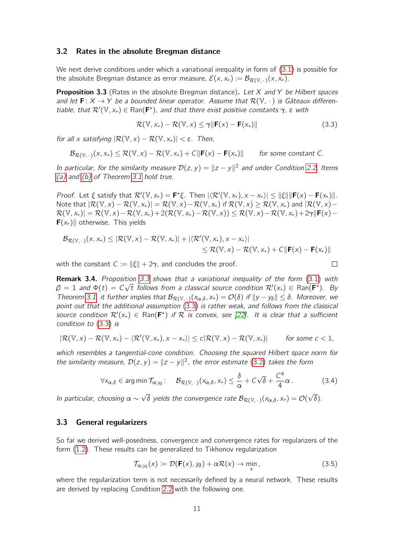#### 3.2 Rates in the absolute Bregman distance

We next derive conditions under which a variational inequality in form of [\(3.1\)](#page-9-2) is possible for the absolute Bregman distance as error measure,  $\mathcal{E}(x, x_+) := \mathcal{B}_{\mathcal{R}(\mathbb{V},\cdot)}(x, x_+).$ 

<span id="page-10-0"></span>**Proposition 3.3** (Rates in the absolute Bregman distance). Let X and Y be Hilbert spaces and let  $\mathbf{F}: X \to Y$  be a bounded linear operator. Assume that  $\mathcal{R}(\mathbb{V}, \cdot)$  is Gâteaux differentiable, that  $\mathcal{R}'(\mathbb{V},x_+) \in \text{Ran}(\mathbf{F}^*)$ , and that there exist positive constants  $\gamma$ ,  $\varepsilon$  with

<span id="page-10-1"></span>
$$
\mathcal{R}(\mathbb{V}, x_+) - \mathcal{R}(\mathbb{V}, x) \le \gamma \|\mathbf{F}(x) - \mathbf{F}(x_+)\| \tag{3.3}
$$

 $\Box$ 

for all x satisfying  $|\mathcal{R}(\mathbb{V},x) - \mathcal{R}(\mathbb{V},x_+)| < \varepsilon$ . Then,

$$
\mathcal{B}_{\mathcal{R}(\mathbb{V},\,\cdot\,)}(x,x_+) \leq \mathcal{R}(\mathbb{V},x) - \mathcal{R}(\mathbb{V},x_+) + C\|\bm{F}(x) - \bm{F}(x_+)\| \qquad \textit{for some constant $C$}.
$$

In particular, for the similarity measure  $\mathcal{D}(z, y) = ||z - y||^2$  and under Condition [2.2,](#page-5-3) Items [\(a\)](#page-9-1) and [\(b\)](#page-9-3) of Theorem [3.1](#page-9-5) hold true.

Proof. Let  $\xi$  satisfy that  $\mathcal{R}'(\mathbb{V}, x_+) = \mathbf{F}^*\xi$ . Then  $|\langle \mathcal{R}'(\mathbb{V}, x_+), x - x_+ \rangle| \le ||\xi|| \|\mathbf{F}(x) - \mathbf{F}(x_+) \|$ . Note that  $|\mathcal{R}(\mathbb{V},x)-\mathcal{R}(\mathbb{V},x_*)|=\mathcal{R}(\mathbb{V},x)-\mathcal{R}(\mathbb{V},x_*)$  if  $\mathcal{R}(\mathbb{V},x)\geq \mathcal{R}(\mathbb{V},x_*)$  and  $|\mathcal{R}(\mathbb{V},x)-\mathcal{R}(\mathbb{V},x_*)|$  $\mathcal{R}(\mathbb{V}, x_+) = \mathcal{R}(\mathbb{V}, x) - \mathcal{R}(\mathbb{V}, x_+) + 2(\mathcal{R}(\mathbb{V}, x_+) - \mathcal{R}(\mathbb{V}, x)) \leq \mathcal{R}(\mathbb{V}, x) - \mathcal{R}(\mathbb{V}, x_+) + 2\gamma \|\mathbf{F}(x) - x\|^2$  **otherwise. This yields** 

$$
\mathcal{B}_{\mathcal{R}(\mathbb{V},\cdot)}(x,x_{+})\leq |\mathcal{R}(\mathbb{V},x)-\mathcal{R}(\mathbb{V},x_{+})|+|\langle \mathcal{R}'(\mathbb{V},x_{+}),x-x_{+}\rangle|\\ \leq \mathcal{R}(\mathbb{V},x)-\mathcal{R}(\mathbb{V},x_{+})+C\|\mathbf{F}(x)-\mathbf{F}(x_{+})\|
$$

with the constant  $C := ||\xi|| + 2\gamma$ , and concludes the proof.

**Remark 3.4.** Proposition 3.3 shows that a variational inequality of the form (3.1) with 
$$
\beta = 1
$$
 and  $\Phi(t) = C\sqrt{t}$  follows from a classical source condition  $\mathcal{R}'(x_+) \in \text{Ran}(\mathbf{F}^*)$ . By Theorem 3.1, it further implies that  $\mathcal{B}_{\mathcal{R}(\mathbb{V}, \cdot)}(x_{\alpha, \delta}, x_+) = \mathcal{O}(\delta)$  if  $||y - y_{\delta}|| \leq \delta$ . Moreover, we point out that the additional assumption (3.3) is rather weak, and follows from the classical source condition  $\mathcal{R}'(x_+) \in \text{Ran}(\mathbf{F}^*)$  if  $\mathcal{R}$  is convex, see [22]. It is clear that a sufficient condition to (3.3) is

$$
|\mathcal{R}(\mathbb{V},x)-\mathcal{R}(\mathbb{V},x_+) - \langle \mathcal{R}'(\mathbb{V},x_+), x-x_+\rangle| \leq c|\mathcal{R}(\mathbb{V},x)-\mathcal{R}(\mathbb{V},x_+)| \quad \text{for some } c < 1,
$$

which resembles a tangential-cone condition. Choosing the squared Hilbert space norm for the similarity measure,  $\mathcal{D}(z, y) = ||z - y||^2$ , the error estimate [\(3.2\)](#page-9-4) takes the form

$$
\forall x_{\alpha,\delta} \in \arg\min \mathcal{T}_{\alpha;\gamma_{\delta}}: \quad \mathcal{B}_{\mathcal{R}(\mathbb{V},\cdot)}(x_{\alpha,\delta},x_{+}) \leq \frac{\delta}{\alpha} + C\sqrt{\delta} + \frac{C^{4}}{4}\alpha. \tag{3.4}
$$

In particular, choosing  $\alpha \sim$ √  $\delta$  yields the convergence rate  $\mathcal{B}_{\mathcal{R}(\mathbb{V},\,\cdot\,)}(\mathsf{x}_{\alpha,\delta},\mathsf{x}_{\star})=\mathcal{O}(\mathsf{x}_{\alpha,\delta})$ √  $\delta$ ).

#### 3.3 General regularizers

So far we derived well-posedness, convergence and convergence rates for regularizers of the form [\(1.2\)](#page-1-0). These results can be generalized to Tikhonov regularization

<span id="page-10-2"></span>
$$
\mathcal{T}_{\alpha;\mathcal{Y}_{\delta}}(x) := \mathcal{D}(\mathbf{F}(x),\mathcal{Y}_{\delta}) + \alpha \mathcal{R}(x) \to \min_{x}, \tag{3.5}
$$

where the regularization term is not necessarily defined by a neural network. These results are derived by replacing Condition [2.2](#page-5-3) with the following one.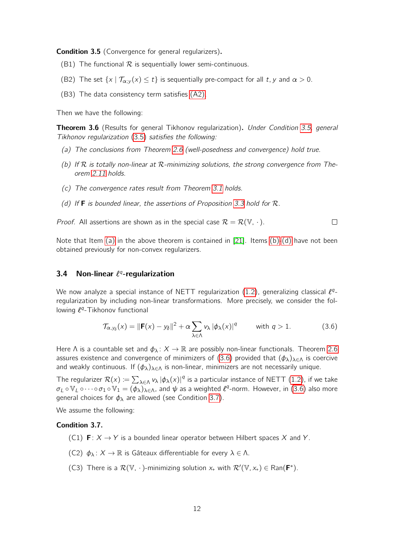<span id="page-11-1"></span>**Condition 3.5** (Convergence for general regularizers).

- (B1) The functional  $\mathcal R$  is sequentially lower semi-continuous.
- (B2) The set  $\{x \mid \mathcal{T}_{\alpha; y}(x) \leq t\}$  is sequentially pre-compact for all t, y and  $\alpha > 0$ .
- (B3) The data consistency term satisfies [\(A2\).](#page-5-1)

Then we have the following:

<span id="page-11-8"></span>**Theorem 3.6** (Results for general Tikhonov regularization). Under Condition [3.5,](#page-11-1) general Tikhonov regularization [\(3.5\)](#page-10-2) satisfies the following:

- <span id="page-11-2"></span>(a) The conclusions from Theorem [2.6](#page-6-0) (well-posedness and convergence) hold true.
- <span id="page-11-3"></span>(b) If  $R$  is totally non-linear at  $R$ -minimizing solutions, the strong convergence from Theorem [2.11](#page-8-0) holds.
- (c) The convergence rates result from Theorem [3.1](#page-9-5) holds.
- <span id="page-11-4"></span>(d) If **F** is bounded linear, the assertions of Proposition [3.3](#page-10-0) hold for  $\mathcal{R}$ .

*Proof.* All assertions are shown as in the special case  $\mathcal{R} = \mathcal{R}(\mathbb{V}, \cdot)$ .  $\Box$ 

Note that Item [\(a\)](#page-11-2) in the above theorem is contained in [\[21\]](#page-22-14). Items [\(b\)-](#page-11-3)[\(d\)](#page-11-4) have not been obtained previously for non-convex regularizers.

### <span id="page-11-0"></span>3.4 Non-linear  $\ell^q$ -regularization

We now analyze a special instance of NETT regularization [\(1.2\)](#page-1-0), generalizing classical  $\ell^{q}$ regularization by including non-linear transformations. More precisely, we consider the following  $\ell^{q}$ -Tikhonov functional

<span id="page-11-5"></span>
$$
\mathcal{T}_{\alpha, y_{\delta}}(x) = \|\mathbf{F}(x) - y_{\delta}\|^2 + \alpha \sum_{\lambda \in \Lambda} v_{\lambda} |\phi_{\lambda}(x)|^q \quad \text{with } q > 1.
$$
 (3.6)

Here  $\Lambda$  is a countable set and  $\phi_{\lambda}: X \to \mathbb{R}$  are possibly non-linear functionals. Theorem [2.6](#page-6-0) assures existence and convergence of minimizers of [\(3.6\)](#page-11-5) provided that  $(\phi_{\lambda})_{\lambda \in \Lambda}$  is coercive and weakly continuous. If  $(\phi_{\lambda})_{\lambda \in \Lambda}$  is non-linear, minimizers are not necessarily unique.

The regularizer  $\mathcal{R}(x) := \sum_{\lambda \in \Lambda} v_\lambda \ket{\phi_\lambda(x)}|^q$  is a particular instance of NETT [\(1.2\)](#page-1-0), if we take  $\sigma_L \circ \mathbb{V}_L \circ \cdots \circ \sigma_1 \circ \mathbb{V}_1 = (\phi_\lambda)_{\lambda \in \Lambda}$ , and  $\psi$  as a weighted  $\ell^q$ -norm. However, in [\(3.6\)](#page-11-5) also more general choices for  $\phi_{\lambda}$  are allowed (see Condition [3.7\)](#page-11-6).

We assume the following:

#### <span id="page-11-6"></span>Condition 3.7.

- (C1)  $\mathbf{F}: X \to Y$  is a bounded linear operator between Hilbert spaces X and Y.
- (C2)  $\phi_{\lambda}: X \to \mathbb{R}$  is Gâteaux differentiable for every  $\lambda \in \Lambda$ .
- <span id="page-11-7"></span>(C3) There is a  $\mathcal{R}(\mathbb{V}, \cdot)$ -minimizing solution  $x_+$  with  $\mathcal{R}'(\mathbb{V}, x_+) \in \text{Ran}(\mathbf{F}^*)$ .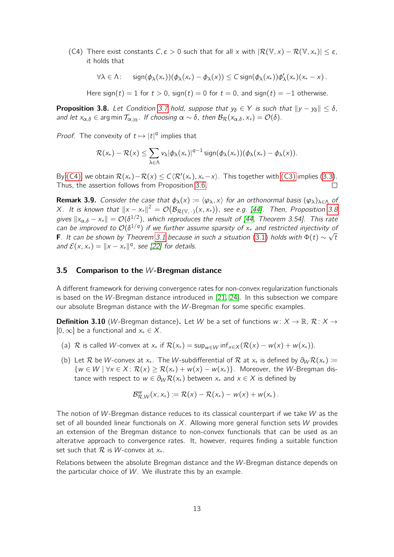<span id="page-12-0"></span>(C4) There exist constants  $C, \varepsilon > 0$  such that for all x with  $\left|\mathcal{R}(\mathbb{V},x) - \mathcal{R}(\mathbb{V},x_+) \right| \leq \varepsilon$ , it holds that

$$
\forall \lambda \in \Lambda: \quad \text{sign}(\phi_\lambda(x_+))(\phi_\lambda(x_+) - \phi_\lambda(x)) \leq C \, \text{sign}(\phi_\lambda(x_+)) \phi_\lambda'(x_+)(x_+ - x) \, .
$$

Here sign(t) = 1 for  $t > 0$ , sign(t) = 0 for  $t = 0$ , and sign(t) = -1 otherwise.

<span id="page-12-1"></span>**Proposition 3.8.** Let Condition [3.7](#page-11-6) hold, suppose that  $y_{\delta} \in Y$  is such that  $||y - y_{\delta}|| \leq \delta$ , and let  $x_{\alpha,\delta} \in \arg \min \mathcal{T}_{\alpha,y_\delta}$ . If choosing  $\alpha \sim \delta$ , then  $\mathcal{B}_{\mathcal{R}}(x_{\alpha,\delta},x_+) = \mathcal{O}(\delta)$ .

*Proof.* The convexity of  $t \mapsto |t|^q$  implies that

$$
\mathcal{R}(x_+) - \mathcal{R}(x) \leq \sum_{\lambda \in \Lambda} v_{\lambda} |\phi_{\lambda}(x_+)|^{q-1} \operatorname{sign}(\phi_{\lambda}(x_+))(\phi_{\lambda}(x_+) - \phi_{\lambda}(x)).
$$

By [\(C4\),](#page-12-0) we obtain  $\mathcal{R}(x_+) - \mathcal{R}(x) \leq C \langle \mathcal{R}'(x_+), x_+ - x \rangle$ . This together with [\(C3\)](#page-11-7) implies [\(3.3\)](#page-10-1). Thus, the assertion follows from Proposition [3.6.](#page-11-8) П

**Remark 3.9.** Consider the case that  $\phi_{\lambda}(x) := \langle \varphi_{\lambda}, x \rangle$  for an orthonormal basis  $(\varphi_{\lambda})_{\lambda \in \Lambda}$  of  $X$ . It is known that  $\|x-x_*\|^2 = \mathcal{O}\big(\mathcal{B}_{{\cal R}(\mathbb{V},\,\cdot\,)}(x,x_*)\big)$ , see e.g. [\[44\]](#page-23-1). Then, Proposition [3.8](#page-12-1) gives  $\|x_{\alpha,\delta}-x_*\|=\mathcal{O}(\delta^{1/2})$ , which reproduces the result of [\[44,](#page-23-1) Theorem 3.54]. This rate can be improved to  $\mathcal{O}(\delta^{1/q})$  if we further assume sparsity of  $x_+$  and restricted injectivity of **F**. It can be shown by Theorem [3.1](#page-9-5) because in such a situation [\(3.1\)](#page-9-2) holds with  $\Phi(t) \sim \sqrt{t}$ and  $\mathcal{E}(x, x_+) = \|x - x_+\|^q$ , see [\[22\]](#page-22-0) for details.

#### 3.5 Comparison to the W-Bregman distance

A different framework for deriving convergence rates for non-convex regularization functionals is based on the W-Bregman distance introduced in [\[21,](#page-22-14) [24\]](#page-22-15). In this subsection we compare our absolute Bregman distance with the W-Bregman for some specific examples.

**Definition 3.10** (W-Bregman distance). Let W be a set of functions  $w: X \to \mathbb{R}, \mathcal{R}: X \to$  $[0, \infty]$  be a functional and  $x_+ \in X$ .

- (a) R is called W-convex at  $x_+$  if  $\mathcal{R}(x_+) = \sup_{w \in \mathcal{W}} \inf_{x \in \mathcal{X}} (\mathcal{R}(x) w(x) + w(x_+)).$
- (b) Let R be W-convex at x<sub>+</sub>. The W-subdifferential of R at x<sub>+</sub> is defined by  $\partial_W \mathcal{R}(x_+) :=$  $\{w \in W \mid \forall x \in X : \mathcal{R}(x) \geq \mathcal{R}(x_+) + w(x) - w(x_+) \}$ . Moreover, the W-Bregman distance with respect to  $w \in \partial_W \mathcal{R}(x_+)$  between  $x_+$  and  $x \in X$  is defined by

$$
\mathcal{B}_{\mathcal{R},W}^w(x,x_+) \coloneqq \mathcal{R}(x) - \mathcal{R}(x_+) - w(x) + w(x_+).
$$

The notion of W-Bregman distance reduces to its classical counterpart if we take  $W$  as the set of all bounded linear functionals on  $X$ . Allowing more general function sets W provides an extension of the Bregman distance to non-convex functionals that can be used as an alterative approach to convergence rates. It, however, requires finding a suitable function set such that  $R$  is W-convex at  $x_{+}$ .

Relations between the absolute Bregman distance and the W-Bregman distance depends on the particular choice of  $W$ . We illustrate this by an example.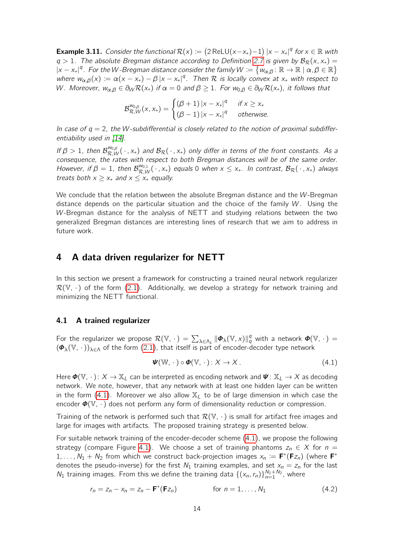**Example 3.11.** Consider the functional  $\mathcal{R}(x) := (2 \text{ ReLU}(x-x_+)-1) |x-x_+|^q$  for  $x \in \mathbb{R}$  with  $q > 1$ . The absolute Bregman distance according to Definition [2.7](#page-7-3) is given by  $B_R(x, x_+) =$  $|x-x_*|^q$ . For the W-Bregman distance consider the family  $W\coloneqq\left\{w_{\alpha,\beta}\colon \mathbb{R}\to\mathbb{R} \mid \alpha,\beta\in\mathbb{R}\right\}$ where  $w_{\alpha,\beta}(x) := \alpha(x-x_+) - \beta |x-x_+|^q$ . Then R is locally convex at  $x_+$  with respect to W. Moreover,  $w_{\alpha,\beta} \in \partial_W \mathcal{R}(x_+)$  if  $\alpha = 0$  and  $\beta \ge 1$ . For  $w_{0,\beta} \in \partial_W \mathcal{R}(x_+)$ , it follows that

$$
\mathcal{B}_{\mathcal{R},W}^{\mathcal{W}_{0,\beta}}(x,x_{+})=\begin{cases}(\beta+1)|x-x_{+}|^{q} & \text{if } x \geq x_{+}\\(\beta-1)|x-x_{+}|^{q} & \text{otherwise.}\end{cases}
$$

In case of  $q = 2$ , the W-subdifferential is closely related to the notion of proximal subdiffer-entiability used in [\[14\]](#page-21-11).

If  $\beta > 1$ , then  $\mathcal{B}_{\mathcal{R},W}^{\omega_{0,\beta}}(\,\cdot\,,x_+)$  and  $\mathcal{B}_\mathcal{R}(\,\cdot\,,x_+)$  only differ in terms of the front constants. As a consequence, the rates with respect to both Bregman distances will be of the same order. However, if  $\beta = 1$ , then  $\mathcal{B}_{\mathcal{R},W}^{\omega_{0,1}}(\,\cdot\,,x_+)$  equals 0 when  $x \leq x_+$ . In contrast,  $\mathcal{B}_\mathcal{R}(\,\cdot\,,x_+)$  always treats both  $x \ge x_+$  and  $x \le x_+$  equally.

We conclude that the relation between the absolute Bregman distance and the W-Bregman distance depends on the particular situation and the choice of the family  $W$ . Using the W-Bregman distance for the analysis of NETT and studying relations between the two generalized Bregman distances are interesting lines of research that we aim to address in future work.

## <span id="page-13-0"></span>4 A data driven regularizer for NETT

In this section we present a framework for constructing a trained neural network regularizer  $\mathcal{R}(\mathbb{V},\cdot)$  of the form [\(2.1\)](#page-4-2). Additionally, we develop a strategy for network training and minimizing the NETT functional.

#### 4.1 A trained regularizer

For the regularizer we propose  $\mathcal{R}(\mathbb{V}, \cdot) = \sum_{\lambda \in \Lambda_L} \|\bm{\phi}_{\lambda}(\mathbb{V},x)\|_q^q$  with a network  $\bm{\phi}(\mathbb{V}, \cdot) =$  $(\Phi_{\lambda}(\mathbb{V},\,\cdot\,))_{\lambda\in\Lambda}$  of the form [\(2.1\)](#page-4-2), that itself is part of encoder-decoder type network

<span id="page-13-2"></span><span id="page-13-1"></span>
$$
\mathbf{\Psi}(\mathbb{W},\,\cdot\,)\circ\mathbf{\Phi}(\mathbb{V},\,\cdot\,):X\to X\,.
$$
\n(4.1)

Here  $\Phi(\mathbb{V}, \cdot): X \to \mathbb{X}_L$  can be interpreted as encoding network and  $\Psi: \mathbb{X}_L \to X$  as decoding network. We note, however, that any network with at least one hidden layer can be written in the form  $(4.1)$ . Moreover we also allow  $\mathbb{X}_l$  to be of large dimension in which case the encoder  $\mathbf{\Phi}(\mathbb{V}, \cdot)$  does not perform any form of dimensionality reduction or compression.

Training of the network is performed such that  $\mathcal{R}(\mathbb{V}, \cdot)$  is small for artifact free images and large for images with artifacts. The proposed training strategy is presented below.

For suitable network training of the encoder-decoder scheme [\(4.1\)](#page-13-1), we propose the following strategy (compare Figure [4.1\)](#page-14-0). We choose a set of training phantoms  $z_n \in X$  for  $n =$ 1, ...,  $N_1 + N_2$  from which we construct back-projection images  $x_n := \mathbf{F}^+(\mathbf{F}z_n)$  (where  $\mathbf{F}^+$ denotes the pseudo-inverse) for the first  $N_1$  training examples, and set  $x_n = z_n$  for the last  $N_1$  training images. From this we define the training data  $\{(x_n, r_n)\}_{n=1}^{N_1+N_2}$ , where

$$
r_n = z_n - x_n = z_n - \mathbf{F}^+(\mathbf{F}z_n) \qquad \text{for } n = 1, \dots, N_1 \tag{4.2}
$$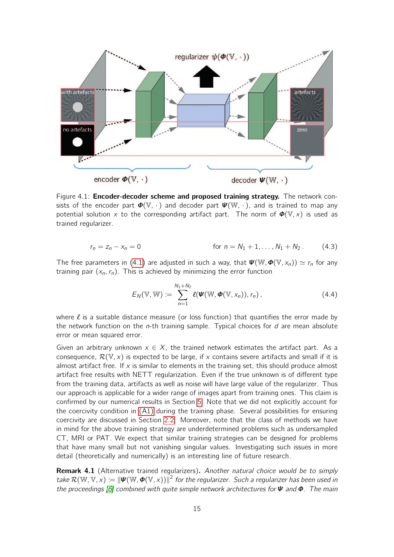<span id="page-14-0"></span>

Figure 4.1: **Encoder-decoder scheme and proposed training strategy.** The network consists of the encoder part  $\Phi(\mathbb{V}, \cdot)$  and decoder part  $\Psi(\mathbb{W}, \cdot)$ , and is trained to map any potential solution x to the corresponding artifact part. The norm of  $\Phi(\mathbb{V},x)$  is used as trained regularizer.

$$
r_n = z_n - x_n = 0
$$
 for  $n = N_1 + 1, ..., N_1 + N_2$ . (4.3)

The free parameters in [\(4.1\)](#page-13-1) are adjusted in such a way, that  $\Psi(\mathbb{W}, \Phi(\mathbb{V}, x_n)) \simeq r_n$  for any training pair  $(x_n, r_n)$ . This is achieved by minimizing the error function

<span id="page-14-1"></span>
$$
E_N(\mathbb{V}, \mathbb{W}) := \sum_{n=1}^{N_1+N_2} \ell(\boldsymbol{\Psi}(\mathbb{W}, \boldsymbol{\Phi}(\mathbb{V}, \mathsf{x}_n)), r_n), \qquad (4.4)
$$

where  $\ell$  is a suitable distance measure (or loss function) that quantifies the error made by the network function on the *n*-th training sample. Typical choices for  $d$  are mean absolute error or mean squared error.

Given an arbitrary unknown  $x \in X$ , the trained network estimates the artifact part. As a consequence,  $\mathcal{R}(\mathbb{V},x)$  is expected to be large, if x contains severe artifacts and small if it is almost artifact free. If  $x$  is similar to elements in the training set, this should produce almost artifact free results with NETT regularization. Even if the true unknown is of different type from the training data, artifacts as well as noise will have large value of the regularizer. Thus our approach is applicable for a wider range of images apart from training ones. This claim is confirmed by our numerical results in Section [5.](#page-15-0) Note that we did not explicitly account for the coercivity condition in [\(A1\)](#page-5-0) during the training phase. Several possibilities for ensuring coercivity are discussed in Section [2.2.](#page-5-4) Moreover, note that the class of methods we have in mind for the above training strategy are underdetermined problems such as undersampled CT, MRI or PAT. We expect that similar training strategies can be designed for problems that have many small but not vanishing singular values. Investigating such issues in more detail (theoretically and numerically) is an interesting line of future research.

**Remark 4.1** (Alternative trained regularizers). Another natural choice would be to simply take  $\mathcal{R}(\mathbb{W},\mathbb{V},x) \coloneqq \|\bm{\Psi}(\mathbb{W},\bm{\Phi}(\mathbb{V},x))\|^2$  for the regularizer. Such a regularizer has been used in the proceedings [\[6\]](#page-21-12) combined with quite simple network architectures for  $\Psi$  and  $\Phi$ . The main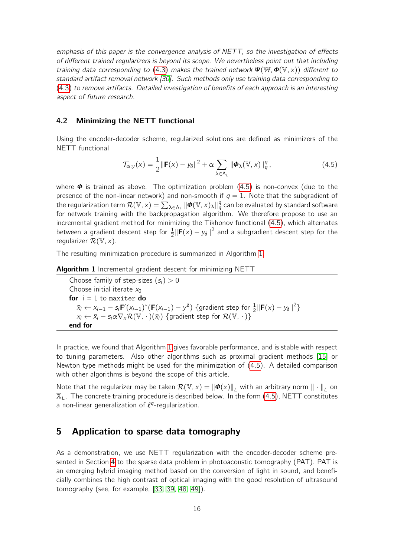emphasis of this paper is the convergence analysis of NETT, so the investigation of effects of different trained regularizers is beyond its scope. We nevertheless point out that including training data corresponding to [\(4.3\)](#page-14-1) makes the trained network  $\Psi(\mathbb{W}, \Phi(\mathbb{V}, x))$  different to standard artifact removal network [\[30\]](#page-22-4). Such methods only use training data corresponding to [\(4.3\)](#page-14-1) to remove artifacts. Detailed investigation of benefits of each approach is an interesting aspect of future research.

#### 4.2 Minimizing the NETT functional

Using the encoder-decoder scheme, regularized solutions are defined as minimizers of the NETT functional

<span id="page-15-1"></span>
$$
\mathcal{T}_{\alpha;y}(x) = \frac{1}{2} \|\mathbf{F}(x) - y_{\delta}\|^2 + \alpha \sum_{\lambda \in \Lambda_L} \|\boldsymbol{\Phi}_{\lambda}(\mathbb{V}, x)\|_{q}^q, \tag{4.5}
$$

where  $\Phi$  is trained as above. The optimization problem [\(4.5\)](#page-15-1) is non-convex (due to the presence of the non-linear network) and non-smooth if  $q = 1$ . Note that the subgradient of the regularization term  $\mathcal{R}(\mathbb{V},x)=\sum_{\lambda\in\Lambda_L}\|\bm{\phi}(\mathbb{V},x)_\lambda\|_q^q$  can be evaluated by standard software for network training with the backpropagation algorithm. We therefore propose to use an incremental gradient method for minimizing the Tikhonov functional [\(4.5\)](#page-15-1), which alternates between a gradient descent step for  $\frac{1}{2} \|\mathbf{F}(x) - y_{\delta}\|^2$  and a subgradient descent step for the regularizer  $\mathcal{R}(\mathbb{V},x)$ .

The resulting minimization procedure is summarized in Algorithm [1.](#page-15-2)

<span id="page-15-2"></span>Algorithm 1 Incremental gradient descent for minimizing NETT Choose family of step-sizes  $(s_i) > 0$ Choose initial iterate  $x_0$ for  $i = 1$  to maxiter do  $\bar{x}_i \leftarrow x_{i-1} - s_i \mathsf{F}'(x_{i-1})^*(\mathsf{F}(x_{i-1}) - y^\delta)$  {gradient step for  $\frac{1}{2} \|\mathsf{F}(x) - y_\delta\|^2$ }  $x_i \leftarrow \bar{x}_i - s_i \alpha \nabla_{\mathbf{x}} \mathcal{R}(\mathbb{V}, \cdot)(\bar{x}_i)$  {gradient step for  $\mathcal{R}(\mathbb{V}, \cdot)$ } end for

In practice, we found that Algorithm [1](#page-15-2) gives favorable performance, and is stable with respect to tuning parameters. Also other algorithms such as proximal gradient methods [\[15\]](#page-21-13) or Newton type methods might be used for the minimization of [\(4.5\)](#page-15-1). A detailed comparison with other algorithms is beyond the scope of this article.

Note that the regularizer may be taken  $\mathcal{R}(\mathbb{V}, x) = ||\boldsymbol{\phi}(x)||_L$  with an arbitrary norm  $||\cdot||_L$  on  $\mathbb{X}_L$ . The concrete training procedure is described below. In the form [\(4.5\)](#page-15-1), NETT constitutes a non-linear generalization of  $\ell^q$ -regularization.

# <span id="page-15-0"></span>5 Application to sparse data tomography

As a demonstration, we use NETT regularization with the encoder-decoder scheme presented in Section [4](#page-13-0) to the sparse data problem in photoacoustic tomography (PAT). PAT is an emerging hybrid imaging method based on the conversion of light in sound, and beneficially combines the high contrast of optical imaging with the good resolution of ultrasound tomography (see, for example, [\[33,](#page-22-16) [39,](#page-23-10) [48,](#page-23-11) [49\]](#page-23-12)).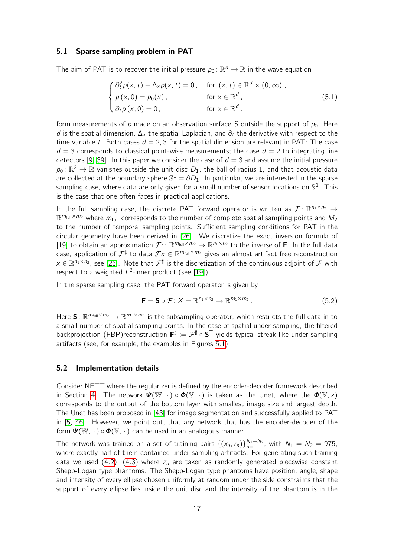#### 5.1 Sparse sampling problem in PAT

The aim of PAT is to recover the initial pressure  $p_0 \colon \mathbb{R}^d \to \mathbb{R}$  in the wave equation

$$
\begin{cases}\n\frac{\partial_t^2 p(x,t) - \Delta_x p(x,t) = 0, & \text{for } (x,t) \in \mathbb{R}^d \times (0,\infty), \\
p(x,0) = p_0(x), & \text{for } x \in \mathbb{R}^d, \\
\frac{\partial_t p(x,0) = 0}{\partial x}, & \text{for } x \in \mathbb{R}^d.\n\end{cases}
$$
\n(5.1)

form measurements of p made on an observation surface S outside the support of  $p_0$ . Here d is the spatial dimension,  $\Delta_{\chi}$  the spatial Laplacian, and  $\partial_t$  the derivative with respect to the time variable t. Both cases  $d = 2, 3$  for the spatial dimension are relevant in PAT: The case  $d = 3$  corresponds to classical point-wise measurements; the case  $d = 2$  to integrating line detectors [\[9,](#page-21-14) [39\]](#page-23-10). In this paper we consider the case of  $d = 3$  and assume the initial pressure  $p_0 \colon \mathbb{R}^2 \to \mathbb{R}$  vanishes outside the unit disc  $D_1$ , the ball of radius 1, and that acoustic data are collected at the boundary sphere  $\mathbb{S}^1 = \partial D_1.$  In particular, we are interested in the sparse sampling case, where data are only given for a small number of sensor locations on  $\mathbb{S}^1$ . This is the case that one often faces in practical applications.

In the full sampling case, the discrete PAT forward operator is written as  $\mathcal{F}$ :  $\mathbb{R}^{n_1 \times n_2} \rightarrow$  $\mathbb{R}^{m_{\text{full}} \times m_2}$  where  $m_{\text{full}}$  corresponds to the number of complete spatial sampling points and  $M_2$ to the number of temporal sampling points. Sufficient sampling conditions for PAT in the circular geometry have been derived in [\[26\]](#page-22-17). We discretize the exact inversion formula of [\[19\]](#page-21-15) to obtain an approximation  $\mathcal{F}^{\sharp}$ :  $\mathbb{R}^{m_{\text{full}} \times m_2} \to \mathbb{R}^{n_1 \times n_2}$  to the inverse of **F**. In the full data case, application of  $\mathcal{F}^\sharp$  to data  $\mathcal{F}x\in\mathbb{R}^{m_{\mathrm{full}}\times m_2}$  gives an almost artifact free reconstruction  $x\in\mathbb{R}^{n_1\times n_2}$ , see [\[26\]](#page-22-17). Note that  $\mathcal{F}^\sharp$  is the discretization of the continuous adjoint of  $\mathcal F$  with respect to a weighted  $L^2$ -inner product (see [\[19\]](#page-21-15)).

In the sparse sampling case, the PAT forward operator is given by

<span id="page-16-0"></span>
$$
\mathbf{F} = \mathbf{S} \circ \mathcal{F} : X = \mathbb{R}^{n_1 \times n_2} \to \mathbb{R}^{m_1 \times m_2}.
$$
 (5.2)

Here S:  $\mathbb{R}^{m_{\text{full}} \times m_2} \to \mathbb{R}^{m_1 \times m_2}$  is the subsampling operator, which restricts the full data in to a small number of spatial sampling points. In the case of spatial under-sampling, the filtered backprojection (FBP)reconstruction  $F^{\sharp} := \mathcal{F}^{\sharp} \circ S^{T}$  yields typical streak-like under-sampling artifacts (see, for example, the examples in Figures [5.1\)](#page-17-0).

#### 5.2 Implementation details

Consider NETT where the regularizer is defined by the encoder-decoder framework described in Section [4.](#page-13-0) The network  $\Psi(\mathbb{W},\cdot) \circ \Phi(\mathbb{V},\cdot)$  is taken as the Unet, where the  $\Phi(\mathbb{V},x)$ corresponds to the output of the bottom layer with smallest image size and largest depth. The Unet has been proposed in [\[43\]](#page-23-13) for image segmentation and successfully applied to PAT in [\[5,](#page-21-3) [46\]](#page-23-14). However, we point out, that any network that has the encoder-decoder of the form  $\mathbf{\Psi}(\mathbb{W},\cdot) \circ \mathbf{\Phi}(\mathbb{V},\cdot)$  can be used in an analogous manner.

The network was trained on a set of training pairs  $\{(x_n, r_n)\}_{n=1}^{N_1+N_2}$ , with  $N_1 = N_2 = 975$ , where exactly half of them contained under-sampling artifacts. For generating such training data we used [\(4.2\)](#page-13-2), [\(4.3\)](#page-14-1) where  $z_n$  are taken as randomly generated piecewise constant Shepp-Logan type phantoms. The Shepp-Logan type phantoms have position, angle, shape and intensity of every ellipse chosen uniformly at random under the side constraints that the support of every ellipse lies inside the unit disc and the intensity of the phantom is in the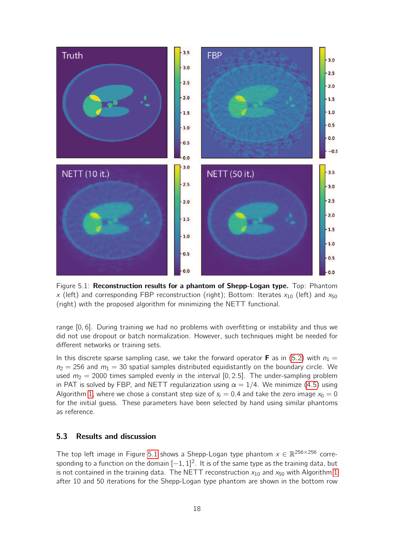<span id="page-17-0"></span>

Figure 5.1: Reconstruction results for a phantom of Shepp-Logan type. Top: Phantom x (left) and corresponding FBP reconstruction (right); Bottom: Iterates  $x_{10}$  (left) and  $x_{50}$ (right) with the proposed algorithm for minimizing the NETT functional.

range [0, 6]. During training we had no problems with overfitting or instability and thus we did not use dropout or batch normalization. However, such techniques might be needed for different networks or training sets.

In this discrete sparse sampling case, we take the forward operator **F** as in [\(5.2\)](#page-16-0) with  $n_1 =$  $n_2 = 256$  and  $m_1 = 30$  spatial samples distributed equidistantly on the boundary circle. We used  $m_2 = 2000$  times sampled evenly in the interval [0, 2.5]. The under-sampling problem in PAT is solved by FBP, and NETT regularization using  $\alpha = 1/4$ . We minimize [\(4.5\)](#page-15-1) using Algorithm [1,](#page-15-2) where we chose a constant step size of  $s_i = 0.4$  and take the zero image  $x_0 = 0$ for the initial guess. These parameters have been selected by hand using similar phantoms as reference.

#### 5.3 Results and discussion

The top left image in Figure [5.1](#page-17-0) shows a Shepp-Logan type phantom  $x \in \mathbb{R}^{256 \times 256}$  corresponding to a function on the domain  $[-1, 1]^2$ . It is of the same type as the training data, but is not contained in the training data. The NETT reconstruction  $x_{10}$  and  $x_{50}$  with Algorithm [1](#page-15-2) after 10 and 50 iterations for the Shepp-Logan type phantom are shown in the bottom row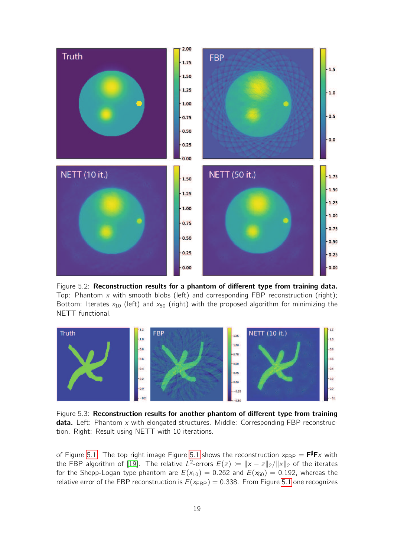<span id="page-18-0"></span>

Figure 5.2: Reconstruction results for a phantom of different type from training data. Top: Phantom  $x$  with smooth blobs (left) and corresponding FBP reconstruction (right); Bottom: Iterates  $x_{10}$  (left) and  $x_{50}$  (right) with the proposed algorithm for minimizing the NETT functional.

<span id="page-18-1"></span>

Figure 5.3: Reconstruction results for another phantom of different type from training data. Left: Phantom  $x$  with elongated structures. Middle: Corresponding FBP reconstruction. Right: Result using NETT with 10 iterations.

of Figure [5.1.](#page-17-0) The top right image Figure [5.1](#page-17-0) shows the reconstruction  $x_{\mathsf{FBP}} = \mathsf{F}^\sharp \mathsf{F} x$  with the FBP algorithm of [\[19\]](#page-21-15). The relative L<sup>2</sup>-errors  $E(z) \coloneqq \|x - z\|_2 / \|x\|_2$  of the iterates for the Shepp-Logan type phantom are  $E(x_{10}) = 0.262$  and  $E(x_{50}) = 0.192$ , whereas the relative error of the FBP reconstruction is  $E(x_{FBP}) = 0.338$ . From Figure [5.1](#page-17-0) one recognizes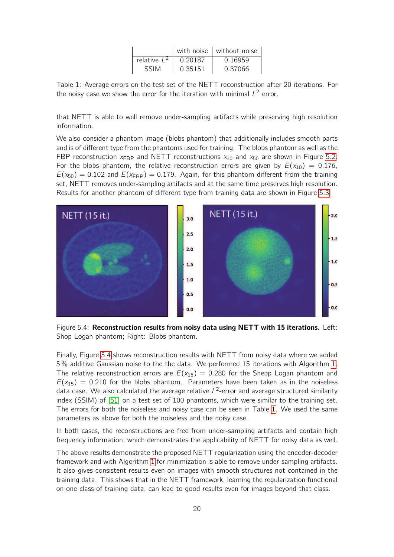|                |         | with noise $\vert$ without noise |
|----------------|---------|----------------------------------|
| relative $L^2$ | 0.20187 | 0.16959                          |
| <b>SSIM</b>    | 0.35151 | 0.37066                          |

<span id="page-19-1"></span>Table 1: Average errors on the test set of the NETT reconstruction after 20 iterations. For the noisy case we show the error for the iteration with minimal  $L^2$  error.

that NETT is able to well remove under-sampling artifacts while preserving high resolution information.

We also consider a phantom image (blobs phantom) that additionally includes smooth parts and is of different type from the phantoms used for training. The blobs phantom as well as the FBP reconstruction  $x_{FBP}$  and NETT reconstructions  $x_{10}$  and  $x_{50}$  are shown in Figure [5.2.](#page-18-0) For the blobs phantom, the relative reconstruction errors are given by  $E(x_{10}) = 0.176$ ,  $E(x_{50}) = 0.102$  and  $E(x_{FBP}) = 0.179$ . Again, for this phantom different from the training set, NETT removes under-sampling artifacts and at the same time preserves high resolution. Results for another phantom of different type from training data are shown in Figure [5.3.](#page-18-1)

<span id="page-19-0"></span>

Figure 5.4: Reconstruction results from noisy data using NETT with 15 iterations. Left: Shop Logan phantom; Right: Blobs phantom.

Finally, Figure [5.4](#page-19-0) shows reconstruction results with NETT from noisy data where we added 5 % additive Gaussian noise to the the data. We performed 15 iterations with Algorithm [1.](#page-15-2) The relative reconstruction errors are  $E(x_{15}) = 0.280$  for the Shepp Logan phantom and  $E(x_{15}) = 0.210$  for the blobs phantom. Parameters have been taken as in the noiseless data case. We also calculated the average relative  $L^2$ -error and average structured similarity index (SSIM) of [\[51\]](#page-23-15) on a test set of 100 phantoms, which were similar to the training set. The errors for both the noiseless and noisy case can be seen in Table [1.](#page-19-1) We used the same parameters as above for both the noiseless and the noisy case.

In both cases, the reconstructions are free from under-sampling artifacts and contain high frequency information, which demonstrates the applicability of NETT for noisy data as well.

The above results demonstrate the proposed NETT regularization using the encoder-decoder framework and with Algorithm [1](#page-15-2) for minimization is able to remove under-sampling artifacts. It also gives consistent results even on images with smooth structures not contained in the training data. This shows that in the NETT framework, learning the regularization functional on one class of training data, can lead to good results even for images beyond that class.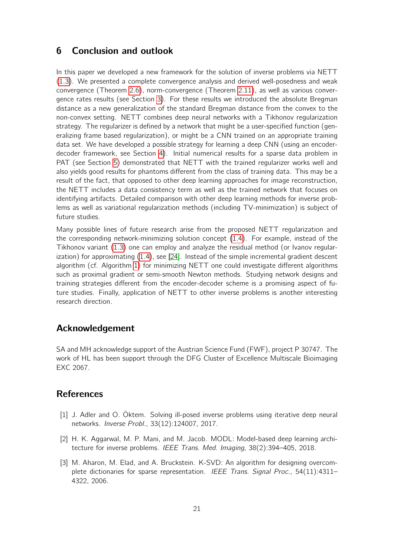# <span id="page-20-2"></span>6 Conclusion and outlook

In this paper we developed a new framework for the solution of inverse problems via NETT [\(1.3\)](#page-1-1). We presented a complete convergence analysis and derived well-posedness and weak convergence (Theorem [2.6\)](#page-6-0), norm-convergence (Theorem [2.11\)](#page-8-0), as well as various convergence rates results (see Section [3\)](#page-9-0). For these results we introduced the absolute Bregman distance as a new generalization of the standard Bregman distance from the convex to the non-convex setting. NETT combines deep neural networks with a Tikhonov regularization strategy. The regularizer is defined by a network that might be a user-specified function (generalizing frame based regularization), or might be a CNN trained on an appropriate training data set. We have developed a possible strategy for learning a deep CNN (using an encoderdecoder framework, see Section [4\)](#page-13-0). Initial numerical results for a sparse data problem in PAT (see Section [5\)](#page-15-0) demonstrated that NETT with the trained regularizer works well and also yields good results for phantoms different from the class of training data. This may be a result of the fact, that opposed to other deep learning approaches for image reconstruction, the NETT includes a data consistency term as well as the trained network that focuses on identifying artifacts. Detailed comparison with other deep learning methods for inverse problems as well as variational regularization methods (including TV-minimization) is subject of future studies.

Many possible lines of future research arise from the proposed NETT regularization and the corresponding network-minimizing solution concept [\(1.4\)](#page-1-2). For example, instead of the Tikhonov variant [\(1.3\)](#page-1-1) one can employ and analyze the residual method (or Ivanov regularization) for approximating [\(1.4\)](#page-1-2), see [\[24\]](#page-22-15). Instead of the simple incremental gradient descent algorithm (cf. Algorithm [1\)](#page-15-2) for minimizing NETT one could investigate different algorithms such as proximal gradient or semi-smooth Newton methods. Studying network designs and training strategies different from the encoder-decoder scheme is a promising aspect of future studies. Finally, application of NETT to other inverse problems is another interesting research direction.

# Acknowledgement

SA and MH acknowledge support of the Austrian Science Fund (FWF), project P 30747. The work of HL has been support through the DFG Cluster of Excellence Multiscale Bioimaging EXC 2067.

# **References**

- <span id="page-20-0"></span>[1] J. Adler and O. Öktem. Solving ill-posed inverse problems using iterative deep neural networks. Inverse Probl., 33(12):124007, 2017.
- <span id="page-20-1"></span>[2] H. K. Aggarwal, M. P. Mani, and M. Jacob. MODL: Model-based deep learning architecture for inverse problems. IEEE Trans. Med. Imaging, 38(2):394–405, 2018.
- <span id="page-20-3"></span>[3] M. Aharon, M. Elad, and A. Bruckstein. K-SVD: An algorithm for designing overcomplete dictionaries for sparse representation. IEEE Trans. Signal Proc., 54(11):4311-4322, 2006.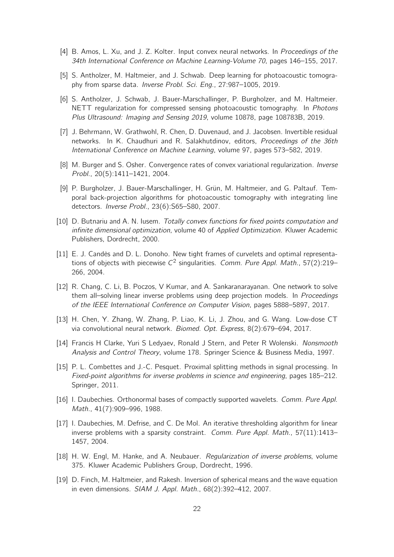- <span id="page-21-2"></span>[4] B. Amos, L. Xu, and J. Z. Kolter. Input convex neural networks. In Proceedings of the 34th International Conference on Machine Learning-Volume 70, pages 146–155, 2017.
- <span id="page-21-3"></span>[5] S. Antholzer, M. Haltmeier, and J. Schwab. Deep learning for photoacoustic tomography from sparse data. Inverse Probl. Sci. Eng., 27:987–1005, 2019.
- <span id="page-21-12"></span>[6] S. Antholzer, J. Schwab, J. Bauer-Marschallinger, P. Burgholzer, and M. Haltmeier. NETT regularization for compressed sensing photoacoustic tomography. In Photons Plus Ultrasound: Imaging and Sensing 2019, volume 10878, page 108783B, 2019.
- <span id="page-21-8"></span>[7] J. Behrmann, W. Grathwohl, R. Chen, D. Duvenaud, and J. Jacobsen. Invertible residual networks. In K. Chaudhuri and R. Salakhutdinov, editors, Proceedings of the 36th International Conference on Machine Learning, volume 97, pages 573–582, 2019.
- <span id="page-21-9"></span>[8] M. Burger and S. Osher. Convergence rates of convex variational regularization. *Inverse* Probl., 20(5):1411–1421, 2004.
- <span id="page-21-14"></span>[9] P. Burgholzer, J. Bauer-Marschallinger, H. Grün, M. Haltmeier, and G. Paltauf. Temporal back-projection algorithms for photoacoustic tomography with integrating line detectors. Inverse Probl., 23(6):S65–S80, 2007.
- <span id="page-21-10"></span>[10] D. Butnariu and A. N. Iusem. Totally convex functions for fixed points computation and infinite dimensional optimization, volume 40 of Applied Optimization. Kluwer Academic Publishers, Dordrecht, 2000.
- <span id="page-21-6"></span>[11] E. J. Candès and D. L. Donoho. New tight frames of curvelets and optimal representations of objects with piecewise  $C^2$  singularities. Comm. Pure Appl. Math., 57(2):219– 266, 2004.
- <span id="page-21-5"></span>[12] R. Chang, C. Li, B. Poczos, V Kumar, and A. Sankaranarayanan. One network to solve them all–solving linear inverse problems using deep projection models. In Proceedings of the IEEE International Conference on Computer Vision, pages 5888–5897, 2017.
- <span id="page-21-4"></span>[13] H. Chen, Y. Zhang, W. Zhang, P. Liao, K. Li, J. Zhou, and G. Wang. Low-dose CT via convolutional neural network. Biomed. Opt. Express, 8(2):679–694, 2017.
- <span id="page-21-11"></span>[14] Francis H Clarke, Yuri S Ledyaev, Ronald J Stern, and Peter R Wolenski. Nonsmooth Analysis and Control Theory, volume 178. Springer Science & Business Media, 1997.
- <span id="page-21-13"></span>[15] P. L. Combettes and J.-C. Pesquet. Proximal splitting methods in signal processing. In Fixed-point algorithms for inverse problems in science and engineering, pages 185–212. Springer, 2011.
- <span id="page-21-7"></span>[16] I. Daubechies. Orthonormal bases of compactly supported wavelets. *Comm. Pure Appl.* Math., 41(7):909–996, 1988.
- <span id="page-21-1"></span>[17] I. Daubechies, M. Defrise, and C. De Mol. An iterative thresholding algorithm for linear inverse problems with a sparsity constraint. Comm. Pure Appl. Math., 57(11):1413– 1457, 2004.
- <span id="page-21-0"></span>[18] H. W. Engl, M. Hanke, and A. Neubauer. *Regularization of inverse problems*, volume 375. Kluwer Academic Publishers Group, Dordrecht, 1996.
- <span id="page-21-15"></span>[19] D. Finch, M. Haltmeier, and Rakesh. Inversion of spherical means and the wave equation in even dimensions. SIAM J. Appl. Math., 68(2):392–412, 2007.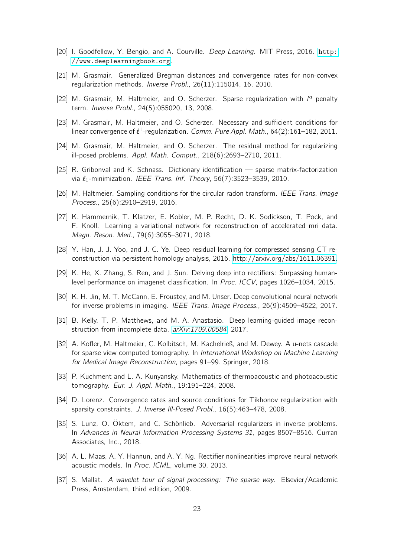- <span id="page-22-7"></span>[20] I. Goodfellow, Y. Bengio, and A. Courville. Deep Learning. MIT Press, 2016. [http:](http://www.deeplearningbook.org) [//www.deeplearningbook.org](http://www.deeplearningbook.org).
- <span id="page-22-14"></span>[21] M. Grasmair. Generalized Bregman distances and convergence rates for non-convex regularization methods. Inverse Probl., 26(11):115014, 16, 2010.
- <span id="page-22-0"></span>[22] M. Grasmair, M. Haltmeier, and O. Scherzer. Sparse regularization with  $1<sup>q</sup>$  penalty term. Inverse Probl., 24(5):055020, 13, 2008.
- <span id="page-22-1"></span>[23] M. Grasmair, M. Haltmeier, and O. Scherzer. Necessary and sufficient conditions for linear convergence of  $\ell^1$ -regularization. Comm. Pure Appl. Math., 64(2):161–182, 2011.
- <span id="page-22-15"></span>[24] M. Grasmair, M. Haltmeier, and O. Scherzer. The residual method for regularizing ill-posed problems. Appl. Math. Comput., 218(6):2693–2710, 2011.
- <span id="page-22-11"></span>[25] R. Gribonval and K. Schnass. Dictionary identification — sparse matrix-factorization via  $\ell_1$ -minimization. IEEE Trans. Inf. Theory, 56(7):3523–3539, 2010.
- <span id="page-22-17"></span>[26] M. Haltmeier. Sampling conditions for the circular radon transform. IEEE Trans. Image Process., 25(6):2910–2919, 2016.
- <span id="page-22-8"></span>[27] K. Hammernik, T. Klatzer, E. Kobler, M. P. Recht, D. K. Sodickson, T. Pock, and F. Knoll. Learning a variational network for reconstruction of accelerated mri data. Magn. Reson. Med., 79(6):3055–3071, 2018.
- <span id="page-22-3"></span>[28] Y. Han, J. J. Yoo, and J. C. Ye. Deep residual learning for compressed sensing CT reconstruction via persistent homology analysis, 2016. [http://arxiv.org/abs/1611.06391.](http://arxiv.org/abs/1611.06391)
- <span id="page-22-13"></span>[29] K. He, X. Zhang, S. Ren, and J. Sun. Delving deep into rectifiers: Surpassing humanlevel performance on imagenet classification. In Proc. ICCV, pages 1026–1034, 2015.
- <span id="page-22-4"></span>[30] K. H. Jin, M. T. McCann, E. Froustey, and M. Unser. Deep convolutional neural network for inverse problems in imaging. IEEE Trans. Image Process., 26(9):4509–4522, 2017.
- <span id="page-22-5"></span>[31] B. Kelly, T. P. Matthews, and M. A. Anastasio. Deep learning-guided image reconstruction from incomplete data. [arXiv:1709.00584](http://arxiv.org/abs/1709.00584), 2017.
- <span id="page-22-6"></span>[32] A. Kofler, M. Haltmeier, C. Kolbitsch, M. Kachelrieß, and M. Dewey. A u-nets cascade for sparse view computed tomography. In International Workshop on Machine Learning for Medical Image Reconstruction, pages 91–99. Springer, 2018.
- <span id="page-22-16"></span>[33] P. Kuchment and L. A. Kunyansky. Mathematics of thermoacoustic and photoacoustic tomography. Eur. J. Appl. Math., 19:191–224, 2008.
- <span id="page-22-2"></span>[34] D. Lorenz. Convergence rates and source conditions for Tikhonov regularization with sparsity constraints. J. Inverse Ill-Posed Probl., 16(5):463–478, 2008.
- <span id="page-22-9"></span>[35] S. Lunz, O. Öktem, and C. Schönlieb. Adversarial regularizers in inverse problems. In Advances in Neural Information Processing Systems 31, pages 8507-8516. Curran Associates, Inc., 2018.
- <span id="page-22-12"></span>[36] A. L. Maas, A. Y. Hannun, and A. Y. Ng. Rectifier nonlinearities improve neural network acoustic models. In Proc. ICML, volume 30, 2013.
- <span id="page-22-10"></span>[37] S. Mallat. A wavelet tour of signal processing: The sparse way. Elsevier/Academic Press, Amsterdam, third edition, 2009.